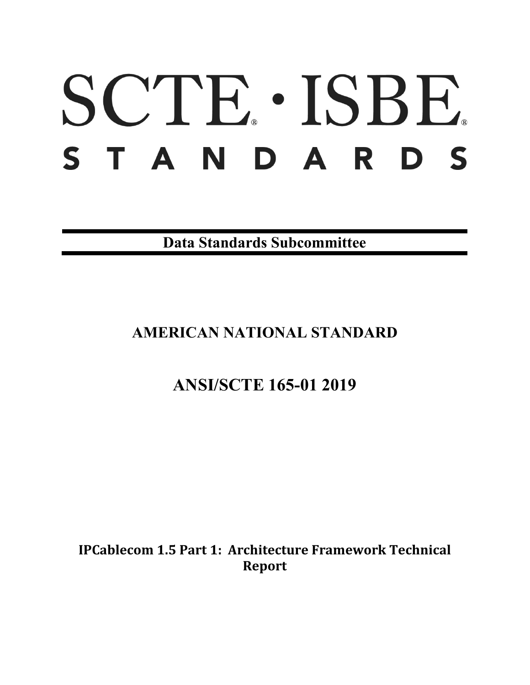# SCTE · ISBE. STANDARDS

**Data Standards Subcommittee**

# **AMERICAN NATIONAL STANDARD**

# **ANSI/SCTE 165-01 2019**

**IPCablecom 1.5 Part 1: Architecture Framework Technical Report**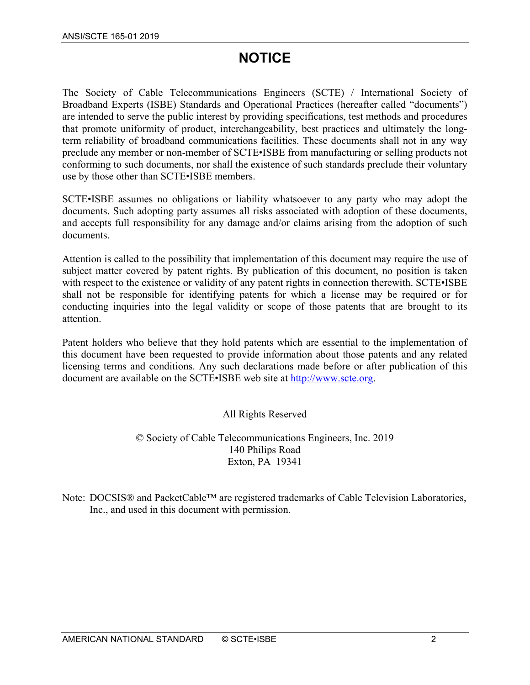# **NOTICE**

The Society of Cable Telecommunications Engineers (SCTE) / International Society of Broadband Experts (ISBE) Standards and Operational Practices (hereafter called "documents") are intended to serve the public interest by providing specifications, test methods and procedures that promote uniformity of product, interchangeability, best practices and ultimately the longterm reliability of broadband communications facilities. These documents shall not in any way preclude any member or non-member of SCTE•ISBE from manufacturing or selling products not conforming to such documents, nor shall the existence of such standards preclude their voluntary use by those other than SCTE•ISBE members.

SCTE•ISBE assumes no obligations or liability whatsoever to any party who may adopt the documents. Such adopting party assumes all risks associated with adoption of these documents, and accepts full responsibility for any damage and/or claims arising from the adoption of such documents.

Attention is called to the possibility that implementation of this document may require the use of subject matter covered by patent rights. By publication of this document, no position is taken with respect to the existence or validity of any patent rights in connection therewith. SCTE•ISBE shall not be responsible for identifying patents for which a license may be required or for conducting inquiries into the legal validity or scope of those patents that are brought to its attention.

Patent holders who believe that they hold patents which are essential to the implementation of this document have been requested to provide information about those patents and any related licensing terms and conditions. Any such declarations made before or after publication of this document are available on the SCTE•ISBE web site at [http://www.scte.org.](http://www.scte.org/)

#### All Rights Reserved

© Society of Cable Telecommunications Engineers, Inc. 2019 140 Philips Road Exton, PA 19341

Note: DOCSIS® and PacketCable™ are registered trademarks of Cable Television Laboratories, Inc., and used in this document with permission.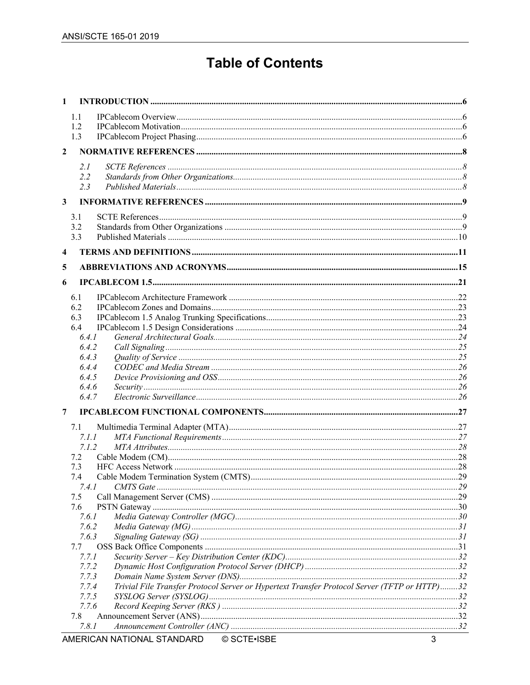# **Table of Contents**

| 1.1<br>1.2<br>1.3<br>$\mathbf{2}$<br>2.I<br>2.2<br>2.3<br>$\mathbf{3}$<br>3.1<br>3.2<br>3.3<br>$\overline{\mathbf{4}}$<br>5<br>6<br>6.1<br>6.2<br>6.3<br>6.4<br>6.4.1<br>6.4.2<br>6.4.3<br>6.4.4<br>6.4.5<br>6.4.6<br>6.4.7<br>7 |  |
|----------------------------------------------------------------------------------------------------------------------------------------------------------------------------------------------------------------------------------|--|
|                                                                                                                                                                                                                                  |  |
|                                                                                                                                                                                                                                  |  |
|                                                                                                                                                                                                                                  |  |
|                                                                                                                                                                                                                                  |  |
|                                                                                                                                                                                                                                  |  |
|                                                                                                                                                                                                                                  |  |
|                                                                                                                                                                                                                                  |  |
|                                                                                                                                                                                                                                  |  |
|                                                                                                                                                                                                                                  |  |
|                                                                                                                                                                                                                                  |  |
|                                                                                                                                                                                                                                  |  |
|                                                                                                                                                                                                                                  |  |
|                                                                                                                                                                                                                                  |  |
|                                                                                                                                                                                                                                  |  |
|                                                                                                                                                                                                                                  |  |
|                                                                                                                                                                                                                                  |  |
|                                                                                                                                                                                                                                  |  |
|                                                                                                                                                                                                                                  |  |
|                                                                                                                                                                                                                                  |  |
|                                                                                                                                                                                                                                  |  |
|                                                                                                                                                                                                                                  |  |
|                                                                                                                                                                                                                                  |  |
|                                                                                                                                                                                                                                  |  |
|                                                                                                                                                                                                                                  |  |
|                                                                                                                                                                                                                                  |  |
|                                                                                                                                                                                                                                  |  |
| 7.1                                                                                                                                                                                                                              |  |
| 7.1.1                                                                                                                                                                                                                            |  |
| 7.1.2                                                                                                                                                                                                                            |  |
| 7.2                                                                                                                                                                                                                              |  |
| 7.3                                                                                                                                                                                                                              |  |
| 7.4                                                                                                                                                                                                                              |  |
| 7.4.1                                                                                                                                                                                                                            |  |
| 7.5                                                                                                                                                                                                                              |  |
| 7.6                                                                                                                                                                                                                              |  |
| 7.6.1                                                                                                                                                                                                                            |  |
| 7.6.2                                                                                                                                                                                                                            |  |
| 7.6.3                                                                                                                                                                                                                            |  |
| 7.7                                                                                                                                                                                                                              |  |
| 7.7.1<br>7.7.2                                                                                                                                                                                                                   |  |
| 7.7.3                                                                                                                                                                                                                            |  |
| Trivial File Transfer Protocol Server or Hypertext Transfer Protocol Server (TFTP or HTTP)32<br>7.7.4                                                                                                                            |  |
| 7.7.5                                                                                                                                                                                                                            |  |
| 7.7.6                                                                                                                                                                                                                            |  |
| 7.8                                                                                                                                                                                                                              |  |
| 7.8.1                                                                                                                                                                                                                            |  |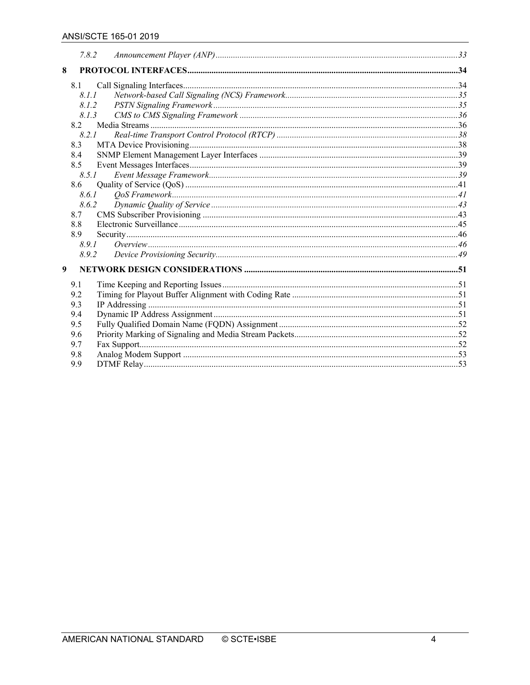|     | 7.8.2 |  |
|-----|-------|--|
| 8   |       |  |
| 8.1 |       |  |
|     | 8.1.1 |  |
|     | 8.1.2 |  |
|     | 8.1.3 |  |
| 8.2 |       |  |
|     | 8.2.1 |  |
| 8.3 |       |  |
| 8.4 |       |  |
| 8.5 |       |  |
|     | 8.5.1 |  |
| 8.6 |       |  |
|     | 8.6.1 |  |
|     | 8.6.2 |  |
| 8.7 |       |  |
| 8.8 |       |  |
| 8.9 |       |  |
|     | 8.9.1 |  |
|     | 8.9.2 |  |
| 9   |       |  |
| 9.1 |       |  |
| 9.2 |       |  |
| 9.3 |       |  |
| 9.4 |       |  |
| 9.5 |       |  |
| 9.6 |       |  |
| 9.7 |       |  |
| 9.8 |       |  |
| 9.9 |       |  |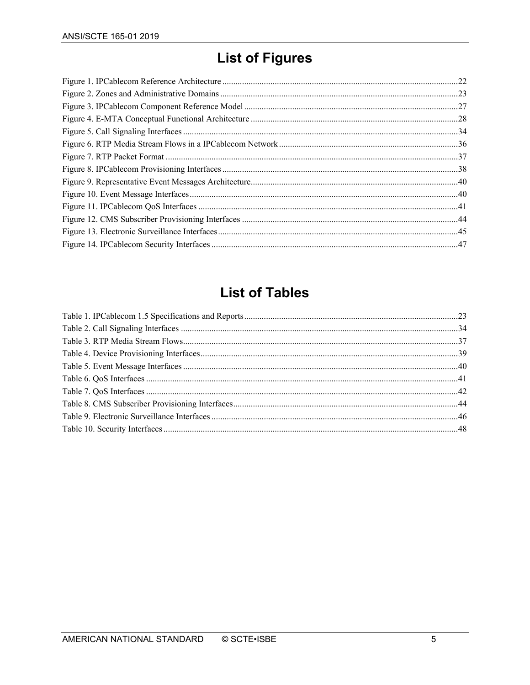# **List of Figures**

# **List of Tables**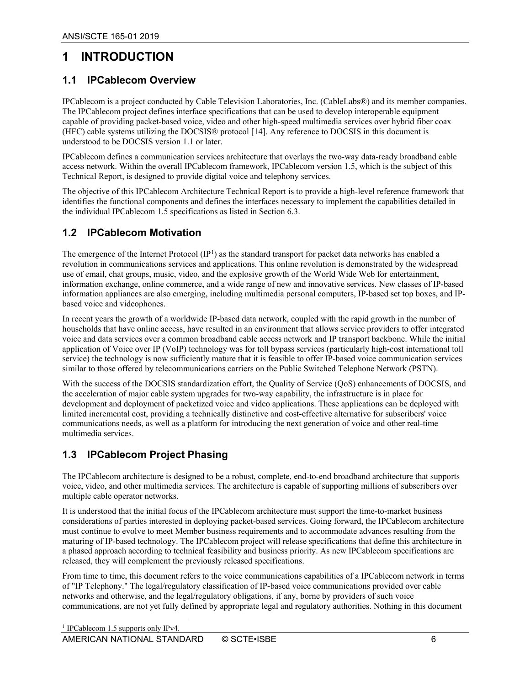## <span id="page-5-0"></span>**1 INTRODUCTION**

#### <span id="page-5-1"></span>**1.1 IPCablecom Overview**

IPCablecom is a project conducted by Cable Television Laboratories, Inc. (CableLabs®) and its member companies. The IPCablecom project defines interface specifications that can be used to develop interoperable equipment capable of providing packet-based voice, video and other high-speed multimedia services over hybrid fiber coax (HFC) cable systems utilizing the DOCSIS® protocol [\[14\].](#page-8-3) Any reference to DOCSIS in this document is understood to be DOCSIS version 1.1 or later.

IPCablecom defines a communication services architecture that overlays the two-way data-ready broadband cable access network. Within the overall IPCablecom framework, IPCablecom version 1.5, which is the subject of this Technical Report, is designed to provide digital voice and telephony services.

The objective of this IPCablecom Architecture Technical Report is to provide a high-level reference framework that identifies the functional components and defines the interfaces necessary to implement the capabilities detailed in the individual IPCablecom 1.5 specifications as listed in Section [6.3.](#page-22-1)

#### <span id="page-5-2"></span>**1.2 IPCablecom Motivation**

The emergence of the Internet Protocol  $(IP<sup>1</sup>)$  $(IP<sup>1</sup>)$  $(IP<sup>1</sup>)$  as the standard transport for packet data networks has enabled a revolution in communications services and applications. This online revolution is demonstrated by the widespread use of email, chat groups, music, video, and the explosive growth of the World Wide Web for entertainment, information exchange, online commerce, and a wide range of new and innovative services. New classes of IP-based information appliances are also emerging, including multimedia personal computers, IP-based set top boxes, and IPbased voice and videophones.

In recent years the growth of a worldwide IP-based data network, coupled with the rapid growth in the number of households that have online access, have resulted in an environment that allows service providers to offer integrated voice and data services over a common broadband cable access network and IP transport backbone. While the initial application of Voice over IP (VoIP) technology was for toll bypass services (particularly high-cost international toll service) the technology is now sufficiently mature that it is feasible to offer IP-based voice communication services similar to those offered by telecommunications carriers on the Public Switched Telephone Network (PSTN).

With the success of the DOCSIS standardization effort, the Quality of Service (QoS) enhancements of DOCSIS, and the acceleration of major cable system upgrades for two-way capability, the infrastructure is in place for development and deployment of packetized voice and video applications. These applications can be deployed with limited incremental cost, providing a technically distinctive and cost-effective alternative for subscribers' voice communications needs, as well as a platform for introducing the next generation of voice and other real-time multimedia services.

#### <span id="page-5-3"></span>**1.3 IPCablecom Project Phasing**

The IPCablecom architecture is designed to be a robust, complete, end-to-end broadband architecture that supports voice, video, and other multimedia services. The architecture is capable of supporting millions of subscribers over multiple cable operator networks.

It is understood that the initial focus of the IPCablecom architecture must support the time-to-market business considerations of parties interested in deploying packet-based services. Going forward, the IPCablecom architecture must continue to evolve to meet Member business requirements and to accommodate advances resulting from the maturing of IP-based technology. The IPCablecom project will release specifications that define this architecture in a phased approach according to technical feasibility and business priority. As new IPCablecom specifications are released, they will complement the previously released specifications.

<span id="page-5-4"></span>From time to time, this document refers to the voice communications capabilities of a IPCablecom network in terms of "IP Telephony." The legal/regulatory classification of IP-based voice communications provided over cable networks and otherwise, and the legal/regulatory obligations, if any, borne by providers of such voice communications, are not yet fully defined by appropriate legal and regulatory authorities. Nothing in this document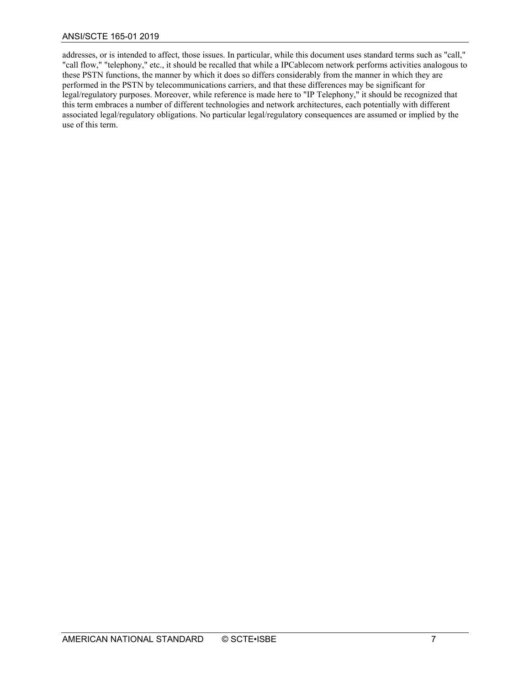addresses, or is intended to affect, those issues. In particular, while this document uses standard terms such as "call," "call flow," "telephony," etc., it should be recalled that while a IPCablecom network performs activities analogous to these PSTN functions, the manner by which it does so differs considerably from the manner in which they are performed in the PSTN by telecommunications carriers, and that these differences may be significant for legal/regulatory purposes. Moreover, while reference is made here to "IP Telephony," it should be recognized that this term embraces a number of different technologies and network architectures, each potentially with different associated legal/regulatory obligations. No particular legal/regulatory consequences are assumed or implied by the use of this term.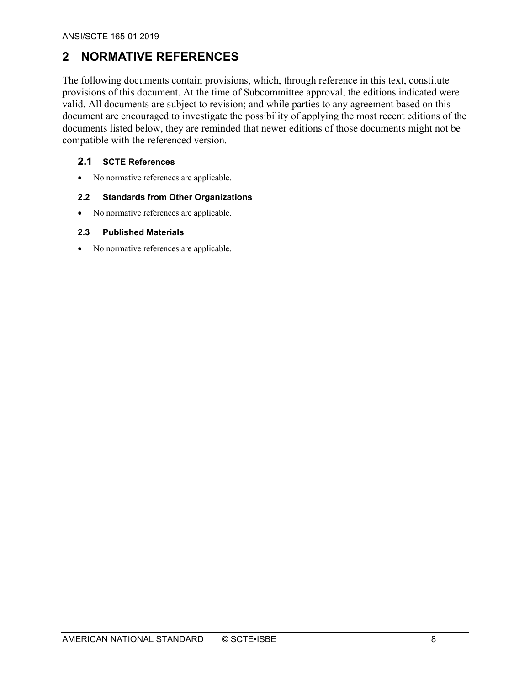## <span id="page-7-0"></span>**2 NORMATIVE REFERENCES**

The following documents contain provisions, which, through reference in this text, constitute provisions of this document. At the time of Subcommittee approval, the editions indicated were valid. All documents are subject to revision; and while parties to any agreement based on this document are encouraged to investigate the possibility of applying the most recent editions of the documents listed below, they are reminded that newer editions of those documents might not be compatible with the referenced version.

#### <span id="page-7-1"></span>**2.1 SCTE References**

• No normative references are applicable.

#### <span id="page-7-2"></span>**2.2 Standards from Other Organizations**

• No normative references are applicable.

#### <span id="page-7-3"></span>**2.3 Published Materials**

• No normative references are applicable.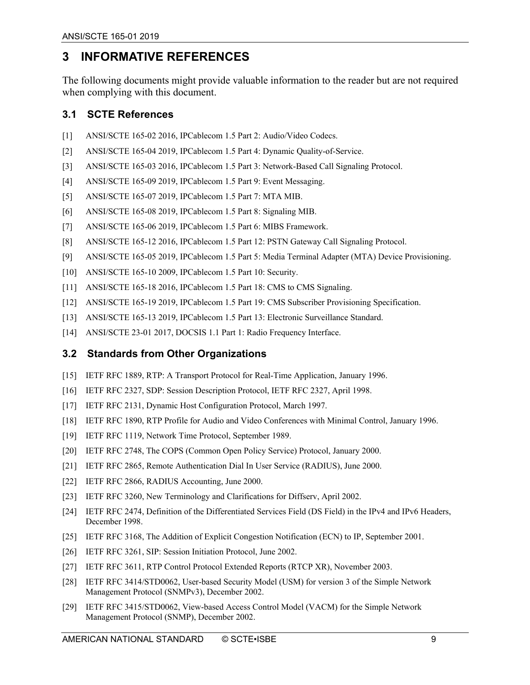## <span id="page-8-0"></span>**3 INFORMATIVE REFERENCES**

The following documents might provide valuable information to the reader but are not required when complying with this document.

#### <span id="page-8-1"></span>**3.1 SCTE References**

- <span id="page-8-6"></span>[1] ANSI/SCTE 165-02 2016, IPCablecom 1.5 Part 2: Audio/Video Codecs.
- <span id="page-8-5"></span>[2] ANSI/SCTE 165-04 2019, IPCablecom 1.5 Part 4: Dynamic Quality-of-Service.
- <span id="page-8-4"></span>[3] ANSI/SCTE 165-03 2016, IPCablecom 1.5 Part 3: Network-Based Call Signaling Protocol.
- <span id="page-8-20"></span>[4] ANSI/SCTE 165-09 2019, IPCablecom 1.5 Part 9: Event Messaging.
- <span id="page-8-7"></span>[5] ANSI/SCTE 165-07 2019, IPCablecom 1.5 Part 7: MTA MIB.
- <span id="page-8-8"></span>[6] ANSI/SCTE 165-08 2019, IPCablecom 1.5 Part 8: Signaling MIB.
- <span id="page-8-19"></span>[7] ANSI/SCTE 165-06 2019, IPCablecom 1.5 Part 6: MIBS Framework.
- <span id="page-8-12"></span>[8] ANSI/SCTE 165-12 2016, IPCablecom 1.5 Part 12: PSTN Gateway Call Signaling Protocol.
- <span id="page-8-10"></span>[9] ANSI/SCTE 165-05 2019, IPCablecom 1.5 Part 5: Media Terminal Adapter (MTA) Device Provisioning.
- <span id="page-8-9"></span>[10] ANSI/SCTE 165-10 2009, IPCablecom 1.5 Part 10: Security.
- <span id="page-8-13"></span>[11] ANSI/SCTE 165-18 2016, IPCablecom 1.5 Part 18: CMS to CMS Signaling.
- <span id="page-8-23"></span>[12] ANSI/SCTE 165-19 2019, IPCablecom 1.5 Part 19: CMS Subscriber Provisioning Specification.
- <span id="page-8-24"></span>[13] ANSI/SCTE 165-13 2019, IPCablecom 1.5 Part 13: Electronic Surveillance Standard.
- <span id="page-8-3"></span>[14] ANSI/SCTE 23-01 2017, DOCSIS 1.1 Part 1: Radio Frequency Interface.

#### <span id="page-8-2"></span>**3.2 Standards from Other Organizations**

- <span id="page-8-15"></span>[15] IETF RFC 1889, RTP: A Transport Protocol for Real-Time Application, January 1996.
- <span id="page-8-17"></span>[16] IETF RFC 2327, SDP: Session Description Protocol, IETF RFC 2327, April 1998.
- <span id="page-8-11"></span>[17] IETF RFC 2131, Dynamic Host Configuration Protocol, March 1997.
- <span id="page-8-16"></span>[18] IETF RFC 1890, RTP Profile for Audio and Video Conferences with Minimal Control, January 1996.
- <span id="page-8-28"></span>[19] IETF RFC 1119, Network Time Protocol, September 1989.
- <span id="page-8-25"></span>[20] IETF RFC 2748, The COPS (Common Open Policy Service) Protocol, January 2000.
- <span id="page-8-21"></span>[21] IETF RFC 2865, Remote Authentication Dial In User Service (RADIUS), June 2000.
- <span id="page-8-22"></span>[22] IETF RFC 2866, RADIUS Accounting, June 2000.
- <span id="page-8-29"></span>[23] IETF RFC 3260, New Terminology and Clarifications for Diffserv, April 2002.
- <span id="page-8-30"></span>[24] IETF RFC 2474, Definition of the Differentiated Services Field (DS Field) in the IPv4 and IPv6 Headers, December 1998.
- <span id="page-8-31"></span>[25] IETF RFC 3168, The Addition of Explicit Congestion Notification (ECN) to IP, September 2001.
- <span id="page-8-14"></span>[26] IETF RFC 3261, SIP: Session Initiation Protocol, June 2002.
- <span id="page-8-18"></span>[27] IETF RFC 3611, RTP Control Protocol Extended Reports (RTCP XR), November 2003.
- <span id="page-8-26"></span>[28] IETF RFC 3414/STD0062, User-based Security Model (USM) for version 3 of the Simple Network Management Protocol (SNMPv3), December 2002.
- <span id="page-8-27"></span>[29] IETF RFC 3415/STD0062, View-based Access Control Model (VACM) for the Simple Network Management Protocol (SNMP), December 2002.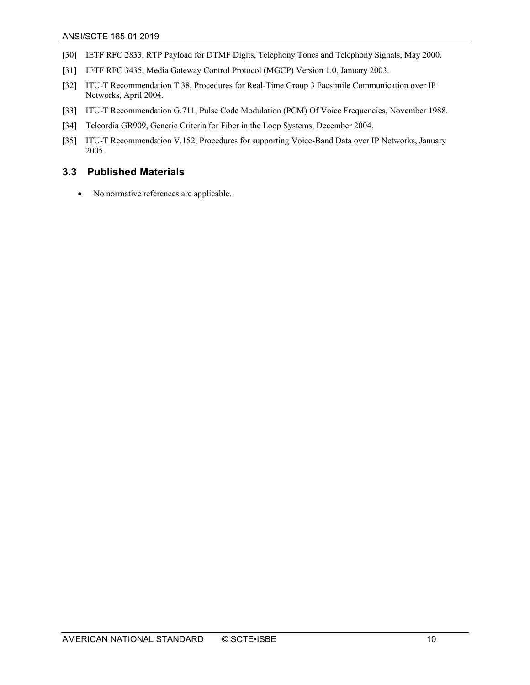- <span id="page-9-5"></span>[30] IETF RFC 2833, RTP Payload for DTMF Digits, Telephony Tones and Telephony Signals, May 2000.
- <span id="page-9-2"></span>[31] IETF RFC 3435, Media Gateway Control Protocol (MGCP) Version 1.0, January 2003.
- <span id="page-9-3"></span>[32] ITU-T Recommendation T.38, Procedures for Real-Time Group 3 Facsimile Communication over IP Networks, April 2004.
- <span id="page-9-1"></span>[33] ITU-T Recommendation G.711, Pulse Code Modulation (PCM) Of Voice Frequencies, November 1988.
- [34] Telcordia GR909, Generic Criteria for Fiber in the Loop Systems, December 2004.
- <span id="page-9-4"></span>[35] ITU-T Recommendation V.152, Procedures for supporting Voice-Band Data over IP Networks, January 2005.

#### <span id="page-9-0"></span>**3.3 Published Materials**

• No normative references are applicable.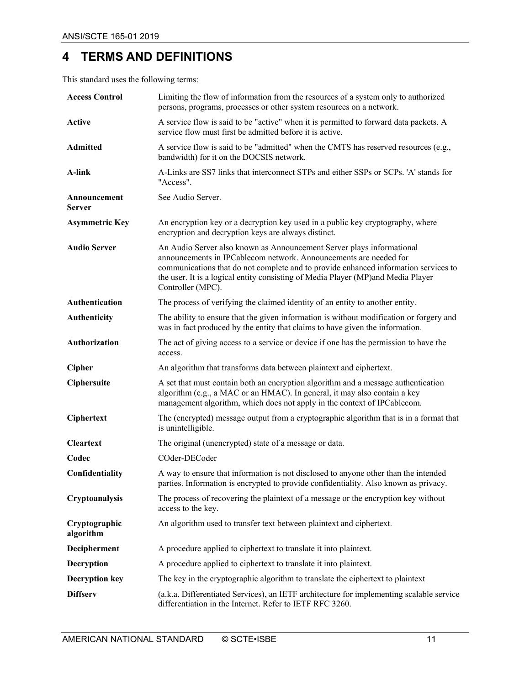## <span id="page-10-0"></span>**4 TERMS AND DEFINITIONS**

This standard uses the following terms:

| <b>Access Control</b>      | Limiting the flow of information from the resources of a system only to authorized<br>persons, programs, processes or other system resources on a network.                                                                                                                                                                                 |
|----------------------------|--------------------------------------------------------------------------------------------------------------------------------------------------------------------------------------------------------------------------------------------------------------------------------------------------------------------------------------------|
| <b>Active</b>              | A service flow is said to be "active" when it is permitted to forward data packets. A<br>service flow must first be admitted before it is active.                                                                                                                                                                                          |
| <b>Admitted</b>            | A service flow is said to be "admitted" when the CMTS has reserved resources (e.g.,<br>bandwidth) for it on the DOCSIS network.                                                                                                                                                                                                            |
| A-link                     | A-Links are SS7 links that interconnect STPs and either SSPs or SCPs. 'A' stands for<br>"Access".                                                                                                                                                                                                                                          |
| Announcement<br>Server     | See Audio Server.                                                                                                                                                                                                                                                                                                                          |
| <b>Asymmetric Key</b>      | An encryption key or a decryption key used in a public key cryptography, where<br>encryption and decryption keys are always distinct.                                                                                                                                                                                                      |
| <b>Audio Server</b>        | An Audio Server also known as Announcement Server plays informational<br>announcements in IPCablecom network. Announcements are needed for<br>communications that do not complete and to provide enhanced information services to<br>the user. It is a logical entity consisting of Media Player (MP)and Media Player<br>Controller (MPC). |
| Authentication             | The process of verifying the claimed identity of an entity to another entity.                                                                                                                                                                                                                                                              |
| Authenticity               | The ability to ensure that the given information is without modification or forgery and<br>was in fact produced by the entity that claims to have given the information.                                                                                                                                                                   |
| Authorization              | The act of giving access to a service or device if one has the permission to have the<br>access.                                                                                                                                                                                                                                           |
| Cipher                     | An algorithm that transforms data between plaintext and ciphertext.                                                                                                                                                                                                                                                                        |
| Ciphersuite                | A set that must contain both an encryption algorithm and a message authentication<br>algorithm (e.g., a MAC or an HMAC). In general, it may also contain a key<br>management algorithm, which does not apply in the context of IPCablecom.                                                                                                 |
| Ciphertext                 | The (encrypted) message output from a cryptographic algorithm that is in a format that<br>is unintelligible.                                                                                                                                                                                                                               |
| <b>Cleartext</b>           | The original (unencrypted) state of a message or data.                                                                                                                                                                                                                                                                                     |
| Codec                      | COder-DECoder                                                                                                                                                                                                                                                                                                                              |
| Confidentiality            | A way to ensure that information is not disclosed to anyone other than the intended<br>parties. Information is encrypted to provide confidentiality. Also known as privacy.                                                                                                                                                                |
| Cryptoanalysis             | The process of recovering the plaintext of a message or the encryption key without<br>access to the key.                                                                                                                                                                                                                                   |
| Cryptographic<br>algorithm | An algorithm used to transfer text between plaintext and ciphertext.                                                                                                                                                                                                                                                                       |
| Decipherment               | A procedure applied to ciphertext to translate it into plaintext.                                                                                                                                                                                                                                                                          |
| Decryption                 | A procedure applied to ciphertext to translate it into plaintext.                                                                                                                                                                                                                                                                          |
| <b>Decryption key</b>      | The key in the cryptographic algorithm to translate the ciphertext to plaintext                                                                                                                                                                                                                                                            |
| <b>Diffserv</b>            | (a.k.a. Differentiated Services), an IETF architecture for implementing scalable service<br>differentiation in the Internet. Refer to IETF RFC 3260.                                                                                                                                                                                       |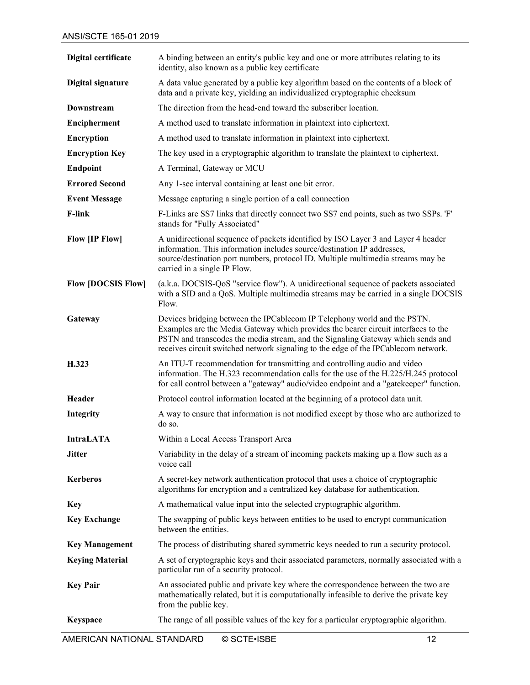| Digital certificate       | A binding between an entity's public key and one or more attributes relating to its<br>identity, also known as a public key certificate                                                                                                                                                                                                 |
|---------------------------|-----------------------------------------------------------------------------------------------------------------------------------------------------------------------------------------------------------------------------------------------------------------------------------------------------------------------------------------|
| <b>Digital signature</b>  | A data value generated by a public key algorithm based on the contents of a block of<br>data and a private key, yielding an individualized cryptographic checksum                                                                                                                                                                       |
| Downstream                | The direction from the head-end toward the subscriber location.                                                                                                                                                                                                                                                                         |
| Encipherment              | A method used to translate information in plaintext into ciphertext.                                                                                                                                                                                                                                                                    |
| <b>Encryption</b>         | A method used to translate information in plaintext into ciphertext.                                                                                                                                                                                                                                                                    |
| <b>Encryption Key</b>     | The key used in a cryptographic algorithm to translate the plaintext to ciphertext.                                                                                                                                                                                                                                                     |
| <b>Endpoint</b>           | A Terminal, Gateway or MCU                                                                                                                                                                                                                                                                                                              |
| <b>Errored Second</b>     | Any 1-sec interval containing at least one bit error.                                                                                                                                                                                                                                                                                   |
| <b>Event Message</b>      | Message capturing a single portion of a call connection                                                                                                                                                                                                                                                                                 |
| <b>F-link</b>             | F-Links are SS7 links that directly connect two SS7 end points, such as two SSPs. 'F'<br>stands for "Fully Associated"                                                                                                                                                                                                                  |
| Flow [IP Flow]            | A unidirectional sequence of packets identified by ISO Layer 3 and Layer 4 header<br>information. This information includes source/destination IP addresses,<br>source/destination port numbers, protocol ID. Multiple multimedia streams may be<br>carried in a single IP Flow.                                                        |
| <b>Flow [DOCSIS Flow]</b> | (a.k.a. DOCSIS-QoS "service flow"). A unidirectional sequence of packets associated<br>with a SID and a QoS. Multiple multimedia streams may be carried in a single DOCSIS<br>Flow.                                                                                                                                                     |
| Gateway                   | Devices bridging between the IPCablecom IP Telephony world and the PSTN.<br>Examples are the Media Gateway which provides the bearer circuit interfaces to the<br>PSTN and transcodes the media stream, and the Signaling Gateway which sends and<br>receives circuit switched network signaling to the edge of the IPCablecom network. |
| H.323                     | An ITU-T recommendation for transmitting and controlling audio and video<br>information. The H.323 recommendation calls for the use of the H.225/H.245 protocol<br>for call control between a "gateway" audio/video endpoint and a "gatekeeper" function.                                                                               |
| Header                    | Protocol control information located at the beginning of a protocol data unit.                                                                                                                                                                                                                                                          |
| Integrity                 | A way to ensure that information is not modified except by those who are authorized to<br>do so.                                                                                                                                                                                                                                        |
| <b>IntraLATA</b>          | Within a Local Access Transport Area                                                                                                                                                                                                                                                                                                    |
| <b>Jitter</b>             | Variability in the delay of a stream of incoming packets making up a flow such as a<br>voice call                                                                                                                                                                                                                                       |
| <b>Kerberos</b>           | A secret-key network authentication protocol that uses a choice of cryptographic<br>algorithms for encryption and a centralized key database for authentication.                                                                                                                                                                        |
| <b>Key</b>                | A mathematical value input into the selected cryptographic algorithm.                                                                                                                                                                                                                                                                   |
| <b>Key Exchange</b>       | The swapping of public keys between entities to be used to encrypt communication<br>between the entities.                                                                                                                                                                                                                               |
| <b>Key Management</b>     | The process of distributing shared symmetric keys needed to run a security protocol.                                                                                                                                                                                                                                                    |
| <b>Keying Material</b>    | A set of cryptographic keys and their associated parameters, normally associated with a<br>particular run of a security protocol.                                                                                                                                                                                                       |
| <b>Key Pair</b>           | An associated public and private key where the correspondence between the two are<br>mathematically related, but it is computationally infeasible to derive the private key<br>from the public key.                                                                                                                                     |
| Keyspace                  | The range of all possible values of the key for a particular cryptographic algorithm.                                                                                                                                                                                                                                                   |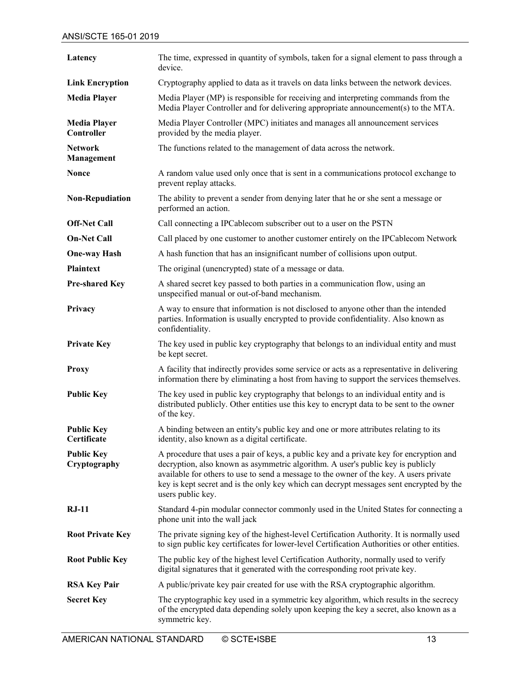| Latency                           | The time, expressed in quantity of symbols, taken for a signal element to pass through a<br>device.                                                                                                                                                                                                                                                                                  |
|-----------------------------------|--------------------------------------------------------------------------------------------------------------------------------------------------------------------------------------------------------------------------------------------------------------------------------------------------------------------------------------------------------------------------------------|
| <b>Link Encryption</b>            | Cryptography applied to data as it travels on data links between the network devices.                                                                                                                                                                                                                                                                                                |
| <b>Media Player</b>               | Media Player (MP) is responsible for receiving and interpreting commands from the<br>Media Player Controller and for delivering appropriate announcement(s) to the MTA.                                                                                                                                                                                                              |
| <b>Media Player</b><br>Controller | Media Player Controller (MPC) initiates and manages all announcement services<br>provided by the media player.                                                                                                                                                                                                                                                                       |
| <b>Network</b><br>Management      | The functions related to the management of data across the network.                                                                                                                                                                                                                                                                                                                  |
| <b>Nonce</b>                      | A random value used only once that is sent in a communications protocol exchange to<br>prevent replay attacks.                                                                                                                                                                                                                                                                       |
| <b>Non-Repudiation</b>            | The ability to prevent a sender from denying later that he or she sent a message or<br>performed an action.                                                                                                                                                                                                                                                                          |
| <b>Off-Net Call</b>               | Call connecting a IPCablecom subscriber out to a user on the PSTN                                                                                                                                                                                                                                                                                                                    |
| <b>On-Net Call</b>                | Call placed by one customer to another customer entirely on the IPCablecom Network                                                                                                                                                                                                                                                                                                   |
| <b>One-way Hash</b>               | A hash function that has an insignificant number of collisions upon output.                                                                                                                                                                                                                                                                                                          |
| <b>Plaintext</b>                  | The original (unencrypted) state of a message or data.                                                                                                                                                                                                                                                                                                                               |
| <b>Pre-shared Key</b>             | A shared secret key passed to both parties in a communication flow, using an<br>unspecified manual or out-of-band mechanism.                                                                                                                                                                                                                                                         |
| Privacy                           | A way to ensure that information is not disclosed to anyone other than the intended<br>parties. Information is usually encrypted to provide confidentiality. Also known as<br>confidentiality.                                                                                                                                                                                       |
| <b>Private Key</b>                | The key used in public key cryptography that belongs to an individual entity and must<br>be kept secret.                                                                                                                                                                                                                                                                             |
| <b>Proxy</b>                      | A facility that indirectly provides some service or acts as a representative in delivering<br>information there by eliminating a host from having to support the services themselves.                                                                                                                                                                                                |
| <b>Public Key</b>                 | The key used in public key cryptography that belongs to an individual entity and is<br>distributed publicly. Other entities use this key to encrypt data to be sent to the owner<br>of the key.                                                                                                                                                                                      |
| <b>Public Key</b><br>Certificate  | A binding between an entity's public key and one or more attributes relating to its<br>identity, also known as a digital certificate.                                                                                                                                                                                                                                                |
| <b>Public Key</b><br>Cryptography | A procedure that uses a pair of keys, a public key and a private key for encryption and<br>decryption, also known as asymmetric algorithm. A user's public key is publicly<br>available for others to use to send a message to the owner of the key. A users private<br>key is kept secret and is the only key which can decrypt messages sent encrypted by the<br>users public key. |
| $RJ-11$                           | Standard 4-pin modular connector commonly used in the United States for connecting a<br>phone unit into the wall jack                                                                                                                                                                                                                                                                |
| <b>Root Private Key</b>           | The private signing key of the highest-level Certification Authority. It is normally used<br>to sign public key certificates for lower-level Certification Authorities or other entities.                                                                                                                                                                                            |
| <b>Root Public Key</b>            | The public key of the highest level Certification Authority, normally used to verify<br>digital signatures that it generated with the corresponding root private key.                                                                                                                                                                                                                |
| <b>RSA Key Pair</b>               | A public/private key pair created for use with the RSA cryptographic algorithm.                                                                                                                                                                                                                                                                                                      |
| <b>Secret Key</b>                 | The cryptographic key used in a symmetric key algorithm, which results in the secrecy<br>of the encrypted data depending solely upon keeping the key a secret, also known as a<br>symmetric key.                                                                                                                                                                                     |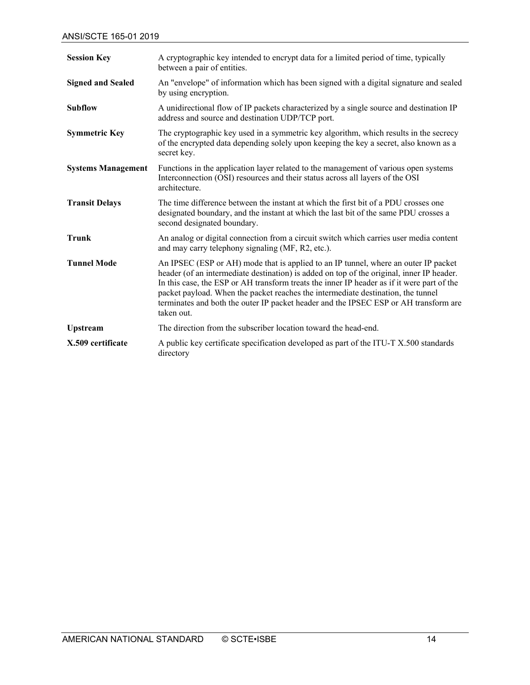| <b>Session Key</b>        | A cryptographic key intended to encrypt data for a limited period of time, typically<br>between a pair of entities.                                                                                                                                                                                                                                                                                                                                                      |
|---------------------------|--------------------------------------------------------------------------------------------------------------------------------------------------------------------------------------------------------------------------------------------------------------------------------------------------------------------------------------------------------------------------------------------------------------------------------------------------------------------------|
| <b>Signed and Sealed</b>  | An "envelope" of information which has been signed with a digital signature and sealed<br>by using encryption.                                                                                                                                                                                                                                                                                                                                                           |
| <b>Subflow</b>            | A unidirectional flow of IP packets characterized by a single source and destination IP<br>address and source and destination UDP/TCP port.                                                                                                                                                                                                                                                                                                                              |
| <b>Symmetric Key</b>      | The cryptographic key used in a symmetric key algorithm, which results in the secrecy<br>of the encrypted data depending solely upon keeping the key a secret, also known as a<br>secret key.                                                                                                                                                                                                                                                                            |
| <b>Systems Management</b> | Functions in the application layer related to the management of various open systems<br>Interconnection (OSI) resources and their status across all layers of the OSI<br>architecture.                                                                                                                                                                                                                                                                                   |
| <b>Transit Delays</b>     | The time difference between the instant at which the first bit of a PDU crosses one<br>designated boundary, and the instant at which the last bit of the same PDU crosses a<br>second designated boundary.                                                                                                                                                                                                                                                               |
| <b>Trunk</b>              | An analog or digital connection from a circuit switch which carries user media content<br>and may carry telephony signaling (MF, R2, etc.).                                                                                                                                                                                                                                                                                                                              |
| <b>Tunnel Mode</b>        | An IPSEC (ESP or AH) mode that is applied to an IP tunnel, where an outer IP packet<br>header (of an intermediate destination) is added on top of the original, inner IP header.<br>In this case, the ESP or AH transform treats the inner IP header as if it were part of the<br>packet payload. When the packet reaches the intermediate destination, the tunnel<br>terminates and both the outer IP packet header and the IPSEC ESP or AH transform are<br>taken out. |
| <b>Upstream</b>           | The direction from the subscriber location toward the head-end.                                                                                                                                                                                                                                                                                                                                                                                                          |
| X.509 certificate         | A public key certificate specification developed as part of the ITU-T X.500 standards<br>directory                                                                                                                                                                                                                                                                                                                                                                       |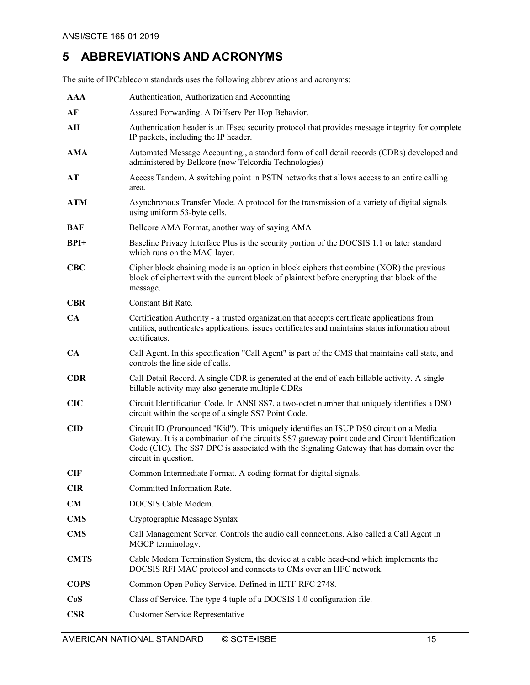## <span id="page-14-0"></span>**5 ABBREVIATIONS AND ACRONYMS**

The suite of IPCablecom standards uses the following abbreviations and acronyms:

| <b>AAA</b>  | Authentication, Authorization and Accounting                                                                                                                                                                                                                                                                   |
|-------------|----------------------------------------------------------------------------------------------------------------------------------------------------------------------------------------------------------------------------------------------------------------------------------------------------------------|
| AF          | Assured Forwarding. A Diffserv Per Hop Behavior.                                                                                                                                                                                                                                                               |
| AH          | Authentication header is an IPsec security protocol that provides message integrity for complete<br>IP packets, including the IP header.                                                                                                                                                                       |
| AMA         | Automated Message Accounting., a standard form of call detail records (CDRs) developed and<br>administered by Bellcore (now Telcordia Technologies)                                                                                                                                                            |
| AT          | Access Tandem. A switching point in PSTN networks that allows access to an entire calling<br>area.                                                                                                                                                                                                             |
| <b>ATM</b>  | Asynchronous Transfer Mode. A protocol for the transmission of a variety of digital signals<br>using uniform 53-byte cells.                                                                                                                                                                                    |
| <b>BAF</b>  | Bellcore AMA Format, another way of saying AMA                                                                                                                                                                                                                                                                 |
| $BPI+$      | Baseline Privacy Interface Plus is the security portion of the DOCSIS 1.1 or later standard<br>which runs on the MAC layer.                                                                                                                                                                                    |
| CBC         | Cipher block chaining mode is an option in block ciphers that combine (XOR) the previous<br>block of ciphertext with the current block of plaintext before encrypting that block of the<br>message.                                                                                                            |
| <b>CBR</b>  | Constant Bit Rate.                                                                                                                                                                                                                                                                                             |
| CA          | Certification Authority - a trusted organization that accepts certificate applications from<br>entities, authenticates applications, issues certificates and maintains status information about<br>certificates.                                                                                               |
| <b>CA</b>   | Call Agent. In this specification "Call Agent" is part of the CMS that maintains call state, and<br>controls the line side of calls.                                                                                                                                                                           |
| <b>CDR</b>  | Call Detail Record. A single CDR is generated at the end of each billable activity. A single<br>billable activity may also generate multiple CDRs                                                                                                                                                              |
| CIC         | Circuit Identification Code. In ANSI SS7, a two-octet number that uniquely identifies a DSO<br>circuit within the scope of a single SS7 Point Code.                                                                                                                                                            |
| <b>CID</b>  | Circuit ID (Pronounced "Kid"). This uniquely identifies an ISUP DS0 circuit on a Media<br>Gateway. It is a combination of the circuit's SS7 gateway point code and Circuit Identification<br>Code (CIC). The SS7 DPC is associated with the Signaling Gateway that has domain over the<br>circuit in question. |
| <b>CIF</b>  | Common Intermediate Format. A coding format for digital signals.                                                                                                                                                                                                                                               |
| <b>CIR</b>  | Committed Information Rate.                                                                                                                                                                                                                                                                                    |
| <b>CM</b>   | DOCSIS Cable Modem.                                                                                                                                                                                                                                                                                            |
| <b>CMS</b>  | Cryptographic Message Syntax                                                                                                                                                                                                                                                                                   |
| <b>CMS</b>  | Call Management Server. Controls the audio call connections. Also called a Call Agent in<br>MGCP terminology.                                                                                                                                                                                                  |
| <b>CMTS</b> | Cable Modem Termination System, the device at a cable head-end which implements the<br>DOCSIS RFI MAC protocol and connects to CMs over an HFC network.                                                                                                                                                        |
| <b>COPS</b> | Common Open Policy Service. Defined in IETF RFC 2748.                                                                                                                                                                                                                                                          |
| CoS         | Class of Service. The type 4 tuple of a DOCSIS 1.0 configuration file.                                                                                                                                                                                                                                         |
| <b>CSR</b>  | <b>Customer Service Representative</b>                                                                                                                                                                                                                                                                         |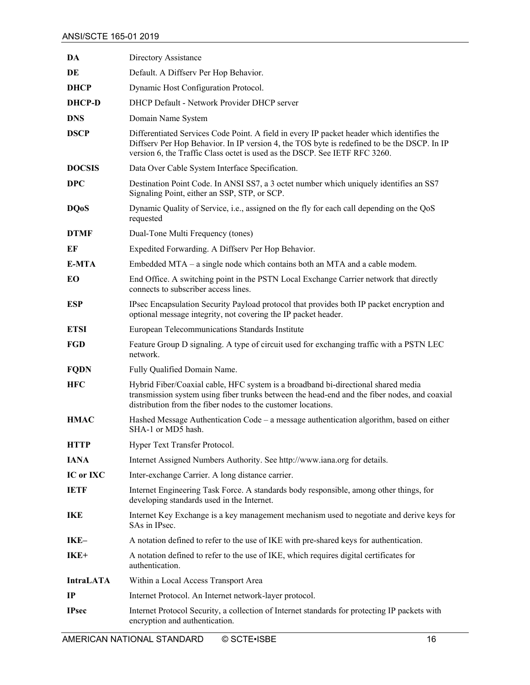| DA               | Directory Assistance                                                                                                                                                                                                                                                    |
|------------------|-------------------------------------------------------------------------------------------------------------------------------------------------------------------------------------------------------------------------------------------------------------------------|
| DE               | Default. A Diffserv Per Hop Behavior.                                                                                                                                                                                                                                   |
| <b>DHCP</b>      | Dynamic Host Configuration Protocol.                                                                                                                                                                                                                                    |
| <b>DHCP-D</b>    | DHCP Default - Network Provider DHCP server                                                                                                                                                                                                                             |
| <b>DNS</b>       | Domain Name System                                                                                                                                                                                                                                                      |
| <b>DSCP</b>      | Differentiated Services Code Point. A field in every IP packet header which identifies the<br>Diffserv Per Hop Behavior. In IP version 4, the TOS byte is redefined to be the DSCP. In IP<br>version 6, the Traffic Class octet is used as the DSCP. See IETF RFC 3260. |
| <b>DOCSIS</b>    | Data Over Cable System Interface Specification.                                                                                                                                                                                                                         |
| <b>DPC</b>       | Destination Point Code. In ANSI SS7, a 3 octet number which uniquely identifies an SS7<br>Signaling Point, either an SSP, STP, or SCP.                                                                                                                                  |
| <b>DQoS</b>      | Dynamic Quality of Service, i.e., assigned on the fly for each call depending on the QoS<br>requested                                                                                                                                                                   |
| <b>DTMF</b>      | Dual-Tone Multi Frequency (tones)                                                                                                                                                                                                                                       |
| EF               | Expedited Forwarding. A Diffserv Per Hop Behavior.                                                                                                                                                                                                                      |
| E-MTA            | Embedded MTA – a single node which contains both an MTA and a cable modem.                                                                                                                                                                                              |
| EO               | End Office. A switching point in the PSTN Local Exchange Carrier network that directly<br>connects to subscriber access lines.                                                                                                                                          |
| <b>ESP</b>       | IPsec Encapsulation Security Payload protocol that provides both IP packet encryption and<br>optional message integrity, not covering the IP packet header.                                                                                                             |
| <b>ETSI</b>      | European Telecommunications Standards Institute                                                                                                                                                                                                                         |
| FGD              | Feature Group D signaling. A type of circuit used for exchanging traffic with a PSTN LEC<br>network.                                                                                                                                                                    |
| <b>FQDN</b>      | Fully Qualified Domain Name.                                                                                                                                                                                                                                            |
| <b>HFC</b>       | Hybrid Fiber/Coaxial cable, HFC system is a broadband bi-directional shared media<br>transmission system using fiber trunks between the head-end and the fiber nodes, and coaxial<br>distribution from the fiber nodes to the customer locations.                       |
| <b>HMAC</b>      | Hashed Message Authentication Code – a message authentication algorithm, based on either<br>SHA-1 or MD5 hash.                                                                                                                                                          |
| <b>HTTP</b>      | Hyper Text Transfer Protocol.                                                                                                                                                                                                                                           |
| <b>IANA</b>      | Internet Assigned Numbers Authority. See http://www.iana.org for details.                                                                                                                                                                                               |
| IC or IXC        | Inter-exchange Carrier. A long distance carrier.                                                                                                                                                                                                                        |
| <b>IETF</b>      | Internet Engineering Task Force. A standards body responsible, among other things, for<br>developing standards used in the Internet.                                                                                                                                    |
| IKE              | Internet Key Exchange is a key management mechanism used to negotiate and derive keys for<br>SAs in IPsec.                                                                                                                                                              |
| IKE-             | A notation defined to refer to the use of IKE with pre-shared keys for authentication.                                                                                                                                                                                  |
| IKE+             | A notation defined to refer to the use of IKE, which requires digital certificates for<br>authentication.                                                                                                                                                               |
| <b>IntraLATA</b> | Within a Local Access Transport Area                                                                                                                                                                                                                                    |
| $_{\rm IP}$      | Internet Protocol. An Internet network-layer protocol.                                                                                                                                                                                                                  |
| <b>IPsec</b>     | Internet Protocol Security, a collection of Internet standards for protecting IP packets with<br>encryption and authentication.                                                                                                                                         |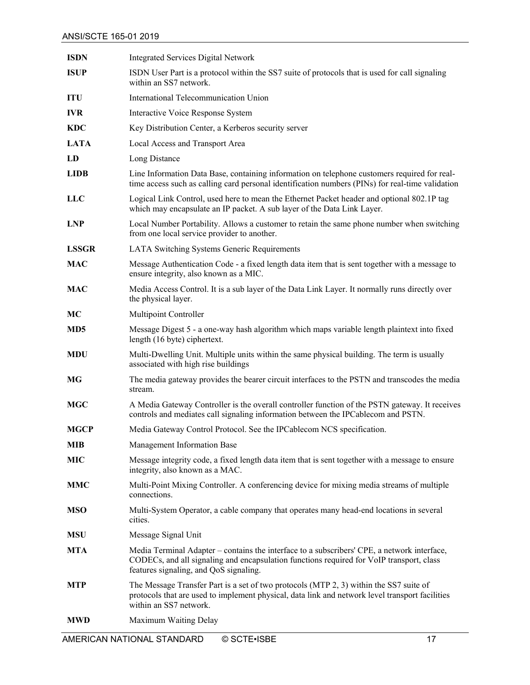| <b>ISDN</b>     | <b>Integrated Services Digital Network</b>                                                                                                                                                                                        |
|-----------------|-----------------------------------------------------------------------------------------------------------------------------------------------------------------------------------------------------------------------------------|
| <b>ISUP</b>     | ISDN User Part is a protocol within the SS7 suite of protocols that is used for call signaling<br>within an SS7 network.                                                                                                          |
| <b>ITU</b>      | International Telecommunication Union                                                                                                                                                                                             |
| <b>IVR</b>      | Interactive Voice Response System                                                                                                                                                                                                 |
| <b>KDC</b>      | Key Distribution Center, a Kerberos security server                                                                                                                                                                               |
| <b>LATA</b>     | Local Access and Transport Area                                                                                                                                                                                                   |
| LD              | Long Distance                                                                                                                                                                                                                     |
| <b>LIDB</b>     | Line Information Data Base, containing information on telephone customers required for real-<br>time access such as calling card personal identification numbers (PINs) for real-time validation                                  |
| <b>LLC</b>      | Logical Link Control, used here to mean the Ethernet Packet header and optional 802.1P tag<br>which may encapsulate an IP packet. A sub layer of the Data Link Layer.                                                             |
| <b>LNP</b>      | Local Number Portability. Allows a customer to retain the same phone number when switching<br>from one local service provider to another.                                                                                         |
| <b>LSSGR</b>    | LATA Switching Systems Generic Requirements                                                                                                                                                                                       |
| <b>MAC</b>      | Message Authentication Code - a fixed length data item that is sent together with a message to<br>ensure integrity, also known as a MIC.                                                                                          |
| <b>MAC</b>      | Media Access Control. It is a sub layer of the Data Link Layer. It normally runs directly over<br>the physical layer.                                                                                                             |
| МC              | Multipoint Controller                                                                                                                                                                                                             |
| MD <sub>5</sub> | Message Digest 5 - a one-way hash algorithm which maps variable length plaintext into fixed<br>length (16 byte) ciphertext.                                                                                                       |
| <b>MDU</b>      | Multi-Dwelling Unit. Multiple units within the same physical building. The term is usually<br>associated with high rise buildings                                                                                                 |
| MG              | The media gateway provides the bearer circuit interfaces to the PSTN and transcodes the media<br>stream.                                                                                                                          |
| <b>MGC</b>      | A Media Gateway Controller is the overall controller function of the PSTN gateway. It receives<br>controls and mediates call signaling information between the IPCablecom and PSTN.                                               |
| <b>MGCP</b>     | Media Gateway Control Protocol. See the IPCablecom NCS specification.                                                                                                                                                             |
| <b>MIB</b>      | Management Information Base                                                                                                                                                                                                       |
| <b>MIC</b>      | Message integrity code, a fixed length data item that is sent together with a message to ensure<br>integrity, also known as a MAC.                                                                                                |
| <b>MMC</b>      | Multi-Point Mixing Controller. A conferencing device for mixing media streams of multiple<br>connections.                                                                                                                         |
| <b>MSO</b>      | Multi-System Operator, a cable company that operates many head-end locations in several<br>cities.                                                                                                                                |
| <b>MSU</b>      | Message Signal Unit                                                                                                                                                                                                               |
| <b>MTA</b>      | Media Terminal Adapter - contains the interface to a subscribers' CPE, a network interface,<br>CODECs, and all signaling and encapsulation functions required for VoIP transport, class<br>features signaling, and QoS signaling. |
| <b>MTP</b>      | The Message Transfer Part is a set of two protocols (MTP 2, 3) within the SS7 suite of<br>protocols that are used to implement physical, data link and network level transport facilities<br>within an SS7 network.               |
| <b>MWD</b>      | Maximum Waiting Delay                                                                                                                                                                                                             |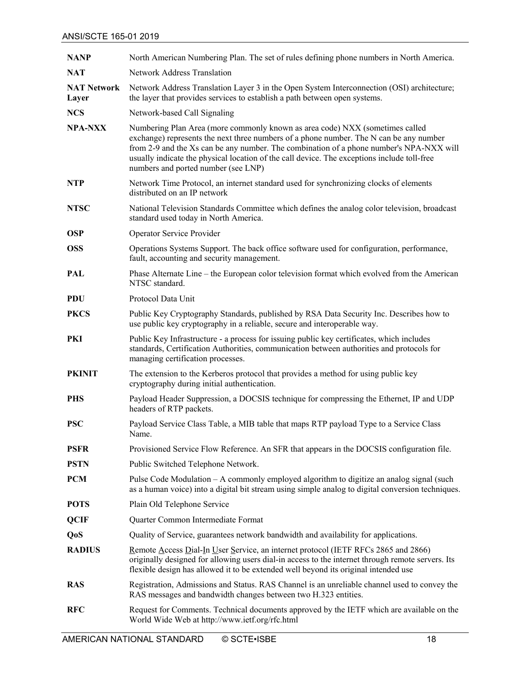| <b>NANP</b>                 | North American Numbering Plan. The set of rules defining phone numbers in North America.                                                                                                                                                                                                                                                                                                                |
|-----------------------------|---------------------------------------------------------------------------------------------------------------------------------------------------------------------------------------------------------------------------------------------------------------------------------------------------------------------------------------------------------------------------------------------------------|
| <b>NAT</b>                  | <b>Network Address Translation</b>                                                                                                                                                                                                                                                                                                                                                                      |
| <b>NAT Network</b><br>Layer | Network Address Translation Layer 3 in the Open System Interconnection (OSI) architecture;<br>the layer that provides services to establish a path between open systems.                                                                                                                                                                                                                                |
| <b>NCS</b>                  | Network-based Call Signaling                                                                                                                                                                                                                                                                                                                                                                            |
| <b>NPA-NXX</b>              | Numbering Plan Area (more commonly known as area code) NXX (sometimes called<br>exchange) represents the next three numbers of a phone number. The N can be any number<br>from 2-9 and the Xs can be any number. The combination of a phone number's NPA-NXX will<br>usually indicate the physical location of the call device. The exceptions include toll-free<br>numbers and ported number (see LNP) |
| <b>NTP</b>                  | Network Time Protocol, an internet standard used for synchronizing clocks of elements<br>distributed on an IP network                                                                                                                                                                                                                                                                                   |
| <b>NTSC</b>                 | National Television Standards Committee which defines the analog color television, broadcast<br>standard used today in North America.                                                                                                                                                                                                                                                                   |
| <b>OSP</b>                  | Operator Service Provider                                                                                                                                                                                                                                                                                                                                                                               |
| <b>OSS</b>                  | Operations Systems Support. The back office software used for configuration, performance,<br>fault, accounting and security management.                                                                                                                                                                                                                                                                 |
| PAL                         | Phase Alternate Line – the European color television format which evolved from the American<br>NTSC standard.                                                                                                                                                                                                                                                                                           |
| <b>PDU</b>                  | Protocol Data Unit                                                                                                                                                                                                                                                                                                                                                                                      |
| <b>PKCS</b>                 | Public Key Cryptography Standards, published by RSA Data Security Inc. Describes how to<br>use public key cryptography in a reliable, secure and interoperable way.                                                                                                                                                                                                                                     |
| PKI                         | Public Key Infrastructure - a process for issuing public key certificates, which includes<br>standards, Certification Authorities, communication between authorities and protocols for<br>managing certification processes.                                                                                                                                                                             |
| <b>PKINIT</b>               | The extension to the Kerberos protocol that provides a method for using public key<br>cryptography during initial authentication.                                                                                                                                                                                                                                                                       |
| <b>PHS</b>                  | Payload Header Suppression, a DOCSIS technique for compressing the Ethernet, IP and UDP<br>headers of RTP packets.                                                                                                                                                                                                                                                                                      |
| <b>PSC</b>                  | Payload Service Class Table, a MIB table that maps RTP payload Type to a Service Class<br>Name.                                                                                                                                                                                                                                                                                                         |
| <b>PSFR</b>                 | Provisioned Service Flow Reference. An SFR that appears in the DOCSIS configuration file.                                                                                                                                                                                                                                                                                                               |
| <b>PSTN</b>                 | Public Switched Telephone Network.                                                                                                                                                                                                                                                                                                                                                                      |
| <b>PCM</b>                  | Pulse Code Modulation – A commonly employed algorithm to digitize an analog signal (such<br>as a human voice) into a digital bit stream using simple analog to digital conversion techniques.                                                                                                                                                                                                           |
| <b>POTS</b>                 | Plain Old Telephone Service                                                                                                                                                                                                                                                                                                                                                                             |
| <b>QCIF</b>                 | Quarter Common Intermediate Format                                                                                                                                                                                                                                                                                                                                                                      |
| Q <sub>o</sub> S            | Quality of Service, guarantees network bandwidth and availability for applications.                                                                                                                                                                                                                                                                                                                     |
| <b>RADIUS</b>               | <u>Remote Access Dial-In User Service</u> , an internet protocol (IETF RFCs 2865 and 2866)<br>originally designed for allowing users dial-in access to the internet through remote servers. Its<br>flexible design has allowed it to be extended well beyond its original intended use                                                                                                                  |
| <b>RAS</b>                  | Registration, Admissions and Status. RAS Channel is an unreliable channel used to convey the<br>RAS messages and bandwidth changes between two H.323 entities.                                                                                                                                                                                                                                          |
| <b>RFC</b>                  | Request for Comments. Technical documents approved by the IETF which are available on the<br>World Wide Web at http://www.ietf.org/rfc.html                                                                                                                                                                                                                                                             |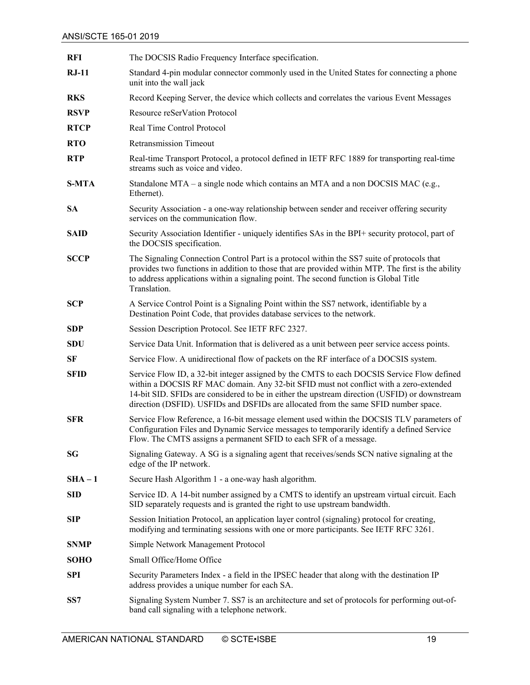| <b>RFI</b>   | The DOCSIS Radio Frequency Interface specification.                                                                                                                                                                                                                                                                                                                         |
|--------------|-----------------------------------------------------------------------------------------------------------------------------------------------------------------------------------------------------------------------------------------------------------------------------------------------------------------------------------------------------------------------------|
| $RJ-11$      | Standard 4-pin modular connector commonly used in the United States for connecting a phone<br>unit into the wall jack                                                                                                                                                                                                                                                       |
| <b>RKS</b>   | Record Keeping Server, the device which collects and correlates the various Event Messages                                                                                                                                                                                                                                                                                  |
| <b>RSVP</b>  | Resource reSerVation Protocol                                                                                                                                                                                                                                                                                                                                               |
| <b>RTCP</b>  | Real Time Control Protocol                                                                                                                                                                                                                                                                                                                                                  |
| <b>RTO</b>   | <b>Retransmission Timeout</b>                                                                                                                                                                                                                                                                                                                                               |
| <b>RTP</b>   | Real-time Transport Protocol, a protocol defined in IETF RFC 1889 for transporting real-time<br>streams such as voice and video.                                                                                                                                                                                                                                            |
| <b>S-MTA</b> | Standalone MTA – a single node which contains an MTA and a non DOCSIS MAC (e.g.,<br>Ethernet).                                                                                                                                                                                                                                                                              |
| <b>SA</b>    | Security Association - a one-way relationship between sender and receiver offering security<br>services on the communication flow.                                                                                                                                                                                                                                          |
| <b>SAID</b>  | Security Association Identifier - uniquely identifies SAs in the BPI+ security protocol, part of<br>the DOCSIS specification.                                                                                                                                                                                                                                               |
| <b>SCCP</b>  | The Signaling Connection Control Part is a protocol within the SS7 suite of protocols that<br>provides two functions in addition to those that are provided within MTP. The first is the ability<br>to address applications within a signaling point. The second function is Global Title<br>Translation.                                                                   |
| <b>SCP</b>   | A Service Control Point is a Signaling Point within the SS7 network, identifiable by a<br>Destination Point Code, that provides database services to the network.                                                                                                                                                                                                           |
| <b>SDP</b>   | Session Description Protocol. See IETF RFC 2327.                                                                                                                                                                                                                                                                                                                            |
| <b>SDU</b>   | Service Data Unit. Information that is delivered as a unit between peer service access points.                                                                                                                                                                                                                                                                              |
| SF           | Service Flow. A unidirectional flow of packets on the RF interface of a DOCSIS system.                                                                                                                                                                                                                                                                                      |
| <b>SFID</b>  | Service Flow ID, a 32-bit integer assigned by the CMTS to each DOCSIS Service Flow defined<br>within a DOCSIS RF MAC domain. Any 32-bit SFID must not conflict with a zero-extended<br>14-bit SID. SFIDs are considered to be in either the upstream direction (USFID) or downstream<br>direction (DSFID). USFIDs and DSFIDs are allocated from the same SFID number space. |
| <b>SFR</b>   | Service Flow Reference, a 16-bit message element used within the DOCSIS TLV parameters of<br>Configuration Files and Dynamic Service messages to temporarily identify a defined Service<br>Flow. The CMTS assigns a permanent SFID to each SFR of a message.                                                                                                                |
| SG           | Signaling Gateway. A SG is a signaling agent that receives/sends SCN native signaling at the<br>edge of the IP network.                                                                                                                                                                                                                                                     |
| $SHA-1$      | Secure Hash Algorithm 1 - a one-way hash algorithm.                                                                                                                                                                                                                                                                                                                         |
| <b>SID</b>   | Service ID. A 14-bit number assigned by a CMTS to identify an upstream virtual circuit. Each<br>SID separately requests and is granted the right to use upstream bandwidth.                                                                                                                                                                                                 |
| <b>SIP</b>   | Session Initiation Protocol, an application layer control (signaling) protocol for creating,<br>modifying and terminating sessions with one or more participants. See IETF RFC 3261.                                                                                                                                                                                        |
| <b>SNMP</b>  | Simple Network Management Protocol                                                                                                                                                                                                                                                                                                                                          |
| <b>SOHO</b>  | Small Office/Home Office                                                                                                                                                                                                                                                                                                                                                    |
| SPI          | Security Parameters Index - a field in the IPSEC header that along with the destination IP<br>address provides a unique number for each SA.                                                                                                                                                                                                                                 |
| SS7          | Signaling System Number 7. SS7 is an architecture and set of protocols for performing out-of-<br>band call signaling with a telephone network.                                                                                                                                                                                                                              |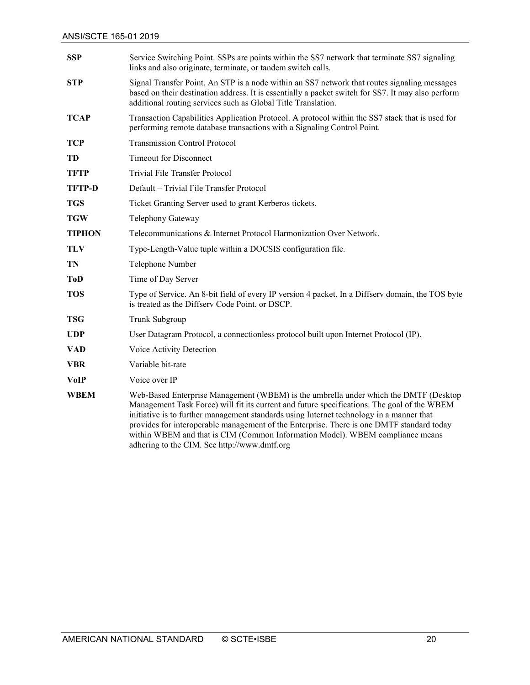| <b>SSP</b>    | Service Switching Point. SSPs are points within the SS7 network that terminate SS7 signaling<br>links and also originate, terminate, or tandem switch calls.                                                                                                                                                                                                                                                                                                                                                  |  |
|---------------|---------------------------------------------------------------------------------------------------------------------------------------------------------------------------------------------------------------------------------------------------------------------------------------------------------------------------------------------------------------------------------------------------------------------------------------------------------------------------------------------------------------|--|
| <b>STP</b>    | Signal Transfer Point. An STP is a node within an SS7 network that routes signaling messages<br>based on their destination address. It is essentially a packet switch for SS7. It may also perform<br>additional routing services such as Global Title Translation.                                                                                                                                                                                                                                           |  |
| <b>TCAP</b>   | Transaction Capabilities Application Protocol. A protocol within the SS7 stack that is used for<br>performing remote database transactions with a Signaling Control Point.                                                                                                                                                                                                                                                                                                                                    |  |
| <b>TCP</b>    | <b>Transmission Control Protocol</b>                                                                                                                                                                                                                                                                                                                                                                                                                                                                          |  |
| TD            | <b>Timeout for Disconnect</b>                                                                                                                                                                                                                                                                                                                                                                                                                                                                                 |  |
| <b>TFTP</b>   | Trivial File Transfer Protocol                                                                                                                                                                                                                                                                                                                                                                                                                                                                                |  |
| <b>TFTP-D</b> | Default - Trivial File Transfer Protocol                                                                                                                                                                                                                                                                                                                                                                                                                                                                      |  |
| <b>TGS</b>    | Ticket Granting Server used to grant Kerberos tickets.                                                                                                                                                                                                                                                                                                                                                                                                                                                        |  |
| <b>TGW</b>    | Telephony Gateway                                                                                                                                                                                                                                                                                                                                                                                                                                                                                             |  |
| <b>TIPHON</b> | Telecommunications & Internet Protocol Harmonization Over Network.                                                                                                                                                                                                                                                                                                                                                                                                                                            |  |
| <b>TLV</b>    | Type-Length-Value tuple within a DOCSIS configuration file.                                                                                                                                                                                                                                                                                                                                                                                                                                                   |  |
| TN            | Telephone Number                                                                                                                                                                                                                                                                                                                                                                                                                                                                                              |  |
| <b>ToD</b>    | Time of Day Server                                                                                                                                                                                                                                                                                                                                                                                                                                                                                            |  |
| <b>TOS</b>    | Type of Service. An 8-bit field of every IP version 4 packet. In a Diffserv domain, the TOS byte<br>is treated as the Diffserv Code Point, or DSCP.                                                                                                                                                                                                                                                                                                                                                           |  |
| <b>TSG</b>    | Trunk Subgroup                                                                                                                                                                                                                                                                                                                                                                                                                                                                                                |  |
| <b>UDP</b>    | User Datagram Protocol, a connectionless protocol built upon Internet Protocol (IP).                                                                                                                                                                                                                                                                                                                                                                                                                          |  |
| <b>VAD</b>    | Voice Activity Detection                                                                                                                                                                                                                                                                                                                                                                                                                                                                                      |  |
| <b>VBR</b>    | Variable bit-rate                                                                                                                                                                                                                                                                                                                                                                                                                                                                                             |  |
| <b>VoIP</b>   | Voice over IP                                                                                                                                                                                                                                                                                                                                                                                                                                                                                                 |  |
| <b>WBEM</b>   | Web-Based Enterprise Management (WBEM) is the umbrella under which the DMTF (Desktop<br>Management Task Force) will fit its current and future specifications. The goal of the WBEM<br>initiative is to further management standards using Internet technology in a manner that<br>provides for interoperable management of the Enterprise. There is one DMTF standard today<br>within WBEM and that is CIM (Common Information Model). WBEM compliance means<br>adhering to the CIM. See http://www.dmtf.org |  |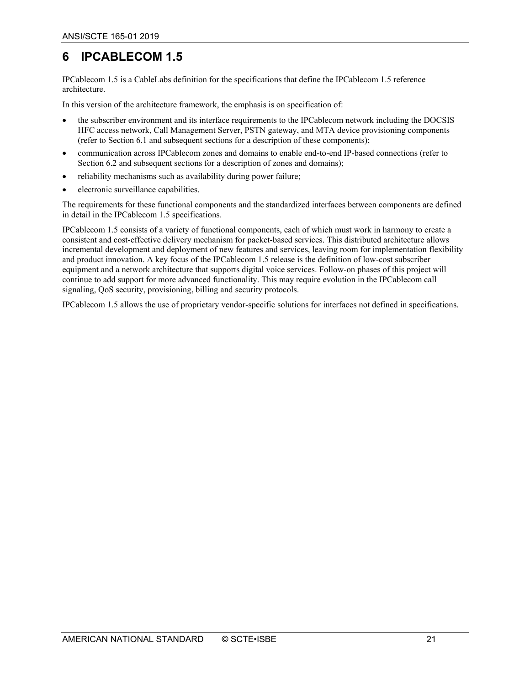## <span id="page-20-0"></span>**6 IPCABLECOM 1.5**

IPCablecom 1.5 is a CableLabs definition for the specifications that define the IPCablecom 1.5 reference architecture.

In this version of the architecture framework, the emphasis is on specification of:

- the subscriber environment and its interface requirements to the IPCablecom network including the DOCSIS HFC access network, Call Management Server, PSTN gateway, and MTA device provisioning components (refer to Section [6.1](#page-21-0) and subsequent sections for a description of these components);
- communication across IPCablecom zones and domains to enable end-to-end IP-based connections (refer to Sectio[n 6.2](#page-22-0) and subsequent sections for a description of zones and domains);
- reliability mechanisms such as availability during power failure;
- electronic surveillance capabilities.

The requirements for these functional components and the standardized interfaces between components are defined in detail in the IPCablecom 1.5 specifications.

IPCablecom 1.5 consists of a variety of functional components, each of which must work in harmony to create a consistent and cost-effective delivery mechanism for packet-based services. This distributed architecture allows incremental development and deployment of new features and services, leaving room for implementation flexibility and product innovation. A key focus of the IPCablecom 1.5 release is the definition of low-cost subscriber equipment and a network architecture that supports digital voice services. Follow-on phases of this project will continue to add support for more advanced functionality. This may require evolution in the IPCablecom call signaling, QoS security, provisioning, billing and security protocols.

IPCablecom 1.5 allows the use of proprietary vendor-specific solutions for interfaces not defined in specifications.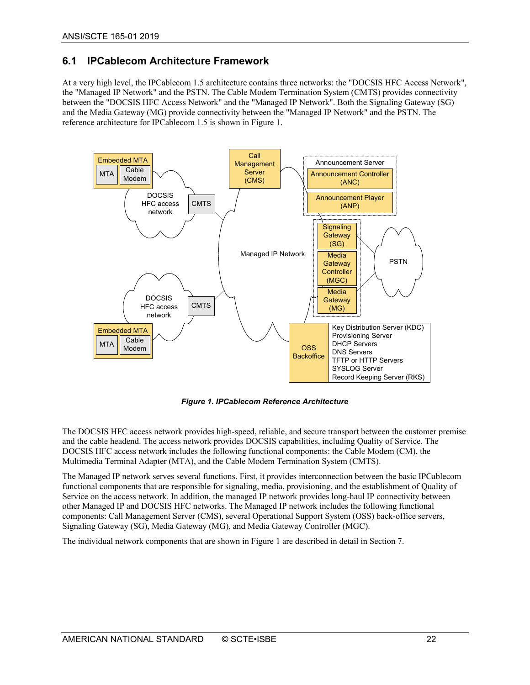#### <span id="page-21-0"></span>**6.1 IPCablecom Architecture Framework**

At a very high level, the IPCablecom 1.5 architecture contains three networks: the "DOCSIS HFC Access Network", the "Managed IP Network" and the PSTN. The Cable Modem Termination System (CMTS) provides connectivity between the "DOCSIS HFC Access Network" and the "Managed IP Network". Both the Signaling Gateway (SG) and the Media Gateway (MG) provide connectivity between the "Managed IP Network" and the PSTN. The reference architecture for IPCablecom 1.5 is shown i[n Figure 1.](#page-21-1)



*Figure 1. IPCablecom Reference Architecture*

<span id="page-21-1"></span>The DOCSIS HFC access network provides high-speed, reliable, and secure transport between the customer premise and the cable headend. The access network provides DOCSIS capabilities, including Quality of Service. The DOCSIS HFC access network includes the following functional components: the Cable Modem (CM), the Multimedia Terminal Adapter (MTA), and the Cable Modem Termination System (CMTS).

The Managed IP network serves several functions. First, it provides interconnection between the basic IPCablecom functional components that are responsible for signaling, media, provisioning, and the establishment of Quality of Service on the access network. In addition, the managed IP network provides long-haul IP connectivity between other Managed IP and DOCSIS HFC networks. The Managed IP network includes the following functional components: Call Management Server (CMS), several Operational Support System (OSS) back-office servers, Signaling Gateway (SG), Media Gateway (MG), and Media Gateway Controller (MGC).

The individual network components that are shown in [Figure 1](#page-21-1) are described in detail in Sectio[n 7.](#page-26-0)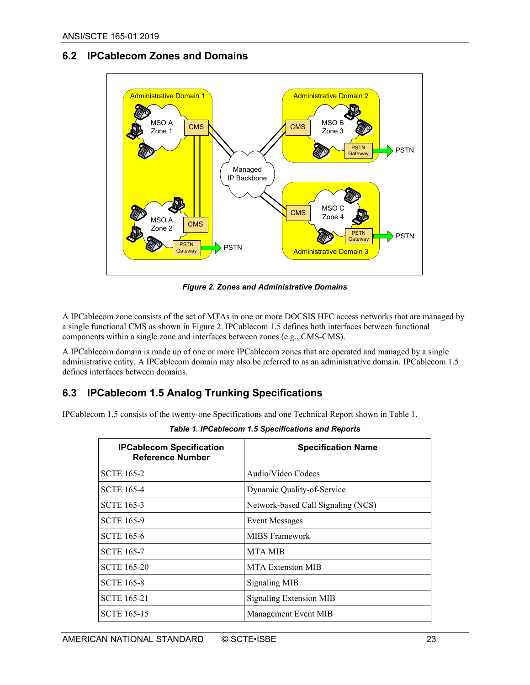#### <span id="page-22-0"></span>**6.2 IPCablecom Zones and Domains**



*Figure 2. Zones and Administrative Domains*

<span id="page-22-3"></span>A IPCablecom zone consists of the set of MTAs in one or more DOCSIS HFC access networks that are managed by a single functional CMS as shown i[n Figure 2.](#page-22-3) IPCablecom 1.5 defines both interfaces between functional components within a single zone and interfaces between zones (e.g., CMS-CMS).

A IPCablecom domain is made up of one or more IPCablecom zones that are operated and managed by a single administrative entity. A IPCablecom domain may also be referred to as an administrative domain. IPCablecom 1.5 defines interfaces between domains.

#### <span id="page-22-1"></span>**6.3 IPCablecom 1.5 Analog Trunking Specifications**

<span id="page-22-2"></span>IPCablecom 1.5 consists of the twenty-one Specifications and one Technical Report shown i[n Table 1.](#page-22-2)

| <b>IPCablecom Specification</b><br><b>Reference Number</b> | <b>Specification Name</b>          |
|------------------------------------------------------------|------------------------------------|
| <b>SCTE 165-2</b>                                          | Audio/Video Codecs                 |
| <b>SCTE 165-4</b>                                          | Dynamic Quality-of-Service         |
| <b>SCTE 165-3</b>                                          | Network-based Call Signaling (NCS) |
| <b>SCTE 165-9</b>                                          | <b>Event Messages</b>              |
| <b>SCTE 165-6</b>                                          | <b>MIBS</b> Framework              |
| <b>SCTE 165-7</b>                                          | <b>MTA MIB</b>                     |
| <b>SCTE 165-20</b>                                         | MTA Extension MIB                  |
| <b>SCTE 165-8</b>                                          | <b>Signaling MIB</b>               |
| <b>SCTE 165-21</b>                                         | Signaling Extension MIB            |
| <b>SCTE 165-15</b>                                         | Management Event MIB               |

*Table 1. IPCablecom 1.5 Specifications and Reports*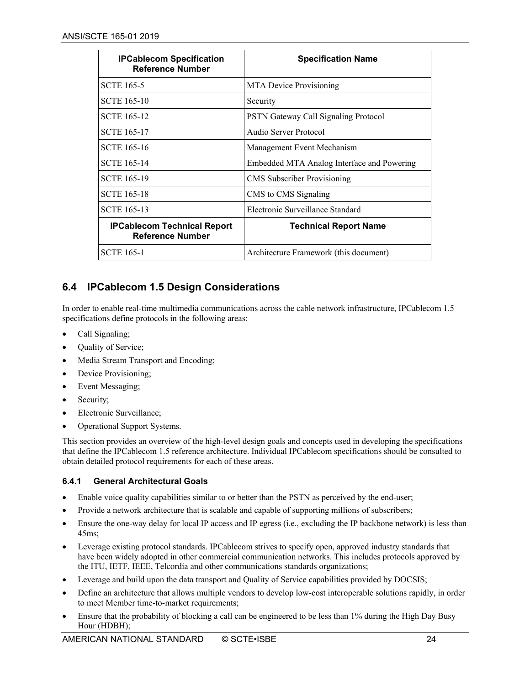| <b>IPCablecom Specification</b><br><b>Reference Number</b>    | <b>Specification Name</b>                  |
|---------------------------------------------------------------|--------------------------------------------|
| <b>SCTE 165-5</b>                                             | <b>MTA Device Provisioning</b>             |
| <b>SCTE 165-10</b>                                            | Security                                   |
| <b>SCTE 165-12</b>                                            | PSTN Gateway Call Signaling Protocol       |
| <b>SCTE 165-17</b>                                            | Audio Server Protocol                      |
| <b>SCTE</b> 165-16                                            | Management Event Mechanism                 |
| <b>SCTE 165-14</b>                                            | Embedded MTA Analog Interface and Powering |
| <b>SCTE 165-19</b>                                            | <b>CMS</b> Subscriber Provisioning         |
| <b>SCTE 165-18</b>                                            | CMS to CMS Signaling                       |
| <b>SCTE 165-13</b>                                            | Electronic Surveillance Standard           |
| <b>IPCablecom Technical Report</b><br><b>Reference Number</b> | <b>Technical Report Name</b>               |
| <b>SCTE 165-1</b>                                             | Architecture Framework (this document)     |

#### <span id="page-23-0"></span>**6.4 IPCablecom 1.5 Design Considerations**

In order to enable real-time multimedia communications across the cable network infrastructure, IPCablecom 1.5 specifications define protocols in the following areas:

- Call Signaling;
- Quality of Service;
- Media Stream Transport and Encoding;
- Device Provisioning;
- Event Messaging;
- Security;
- Electronic Surveillance;
- Operational Support Systems.

This section provides an overview of the high-level design goals and concepts used in developing the specifications that define the IPCablecom 1.5 reference architecture. Individual IPCablecom specifications should be consulted to obtain detailed protocol requirements for each of these areas.

#### <span id="page-23-1"></span>**6.4.1 General Architectural Goals**

- Enable voice quality capabilities similar to or better than the PSTN as perceived by the end-user;
- Provide a network architecture that is scalable and capable of supporting millions of subscribers;
- Ensure the one-way delay for local IP access and IP egress (i.e., excluding the IP backbone network) is less than 45ms;
- Leverage existing protocol standards. IPCablecom strives to specify open, approved industry standards that have been widely adopted in other commercial communication networks. This includes protocols approved by the ITU, IETF, IEEE, Telcordia and other communications standards organizations;
- Leverage and build upon the data transport and Quality of Service capabilities provided by DOCSIS;
- Define an architecture that allows multiple vendors to develop low-cost interoperable solutions rapidly, in order to meet Member time-to-market requirements;
- Ensure that the probability of blocking a call can be engineered to be less than 1% during the High Day Busy Hour (HDBH);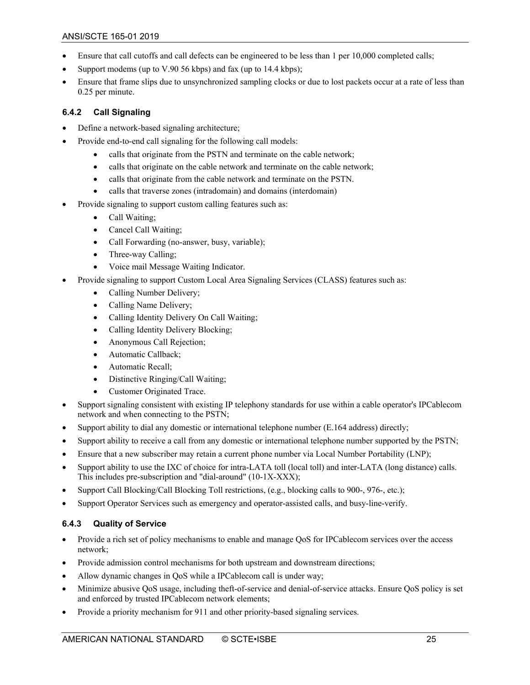- Ensure that call cutoffs and call defects can be engineered to be less than 1 per 10,000 completed calls;
- Support modems (up to V.90 56 kbps) and fax (up to 14.4 kbps);
- Ensure that frame slips due to unsynchronized sampling clocks or due to lost packets occur at a rate of less than 0.25 per minute.

#### <span id="page-24-0"></span>**6.4.2 Call Signaling**

- Define a network-based signaling architecture;
- Provide end-to-end call signaling for the following call models:
	- calls that originate from the PSTN and terminate on the cable network;
	- calls that originate on the cable network and terminate on the cable network;
	- calls that originate from the cable network and terminate on the PSTN.
	- calls that traverse zones (intradomain) and domains (interdomain)
- Provide signaling to support custom calling features such as:
	- Call Waiting;
	- Cancel Call Waiting;
	- Call Forwarding (no-answer, busy, variable);
	- Three-way Calling;
	- Voice mail Message Waiting Indicator.
- Provide signaling to support Custom Local Area Signaling Services (CLASS) features such as:
	- Calling Number Delivery;
	- Calling Name Delivery;
	- Calling Identity Delivery On Call Waiting;
	- Calling Identity Delivery Blocking;
	- Anonymous Call Rejection;
	- Automatic Callback;
	- Automatic Recall;
	- Distinctive Ringing/Call Waiting;
	- Customer Originated Trace.
- Support signaling consistent with existing IP telephony standards for use within a cable operator's IPCablecom network and when connecting to the PSTN;
- Support ability to dial any domestic or international telephone number (E.164 address) directly;
- Support ability to receive a call from any domestic or international telephone number supported by the PSTN;
- Ensure that a new subscriber may retain a current phone number via Local Number Portability (LNP);
- Support ability to use the IXC of choice for intra-LATA toll (local toll) and inter-LATA (long distance) calls. This includes pre-subscription and "dial-around" (10-1X-XXX);
- Support Call Blocking/Call Blocking Toll restrictions, (e.g., blocking calls to 900-, 976-, etc.);
- Support Operator Services such as emergency and operator-assisted calls, and busy-line-verify.

#### <span id="page-24-1"></span>**6.4.3 Quality of Service**

- Provide a rich set of policy mechanisms to enable and manage QoS for IPCablecom services over the access network;
- Provide admission control mechanisms for both upstream and downstream directions;
- Allow dynamic changes in QoS while a IPCablecom call is under way;
- Minimize abusive QoS usage, including theft-of-service and denial-of-service attacks. Ensure QoS policy is set and enforced by trusted IPCablecom network elements;
- Provide a priority mechanism for 911 and other priority-based signaling services.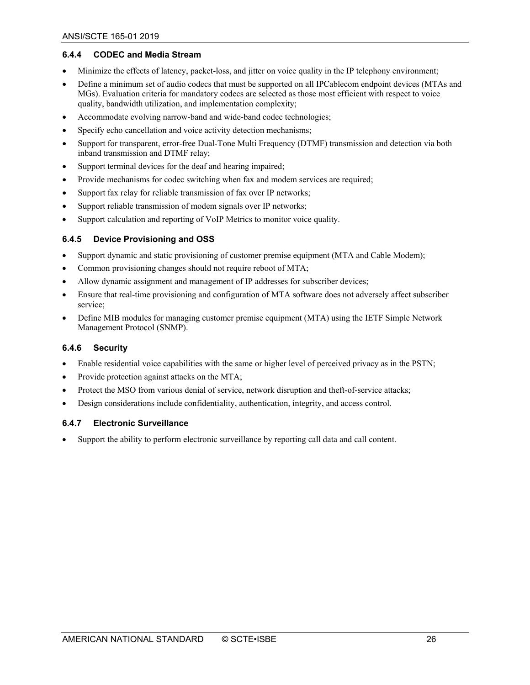#### <span id="page-25-0"></span>**6.4.4 CODEC and Media Stream**

- Minimize the effects of latency, packet-loss, and jitter on voice quality in the IP telephony environment;
- Define a minimum set of audio codecs that must be supported on all IPCablecom endpoint devices (MTAs and MGs). Evaluation criteria for mandatory codecs are selected as those most efficient with respect to voice quality, bandwidth utilization, and implementation complexity;
- Accommodate evolving narrow-band and wide-band codec technologies;
- Specify echo cancellation and voice activity detection mechanisms;
- Support for transparent, error-free Dual-Tone Multi Frequency (DTMF) transmission and detection via both inband transmission and DTMF relay;
- Support terminal devices for the deaf and hearing impaired;
- Provide mechanisms for codec switching when fax and modem services are required;
- Support fax relay for reliable transmission of fax over IP networks;
- Support reliable transmission of modem signals over IP networks;
- Support calculation and reporting of VoIP Metrics to monitor voice quality.

#### <span id="page-25-1"></span>**6.4.5 Device Provisioning and OSS**

- Support dynamic and static provisioning of customer premise equipment (MTA and Cable Modem);
- Common provisioning changes should not require reboot of MTA;
- Allow dynamic assignment and management of IP addresses for subscriber devices;
- Ensure that real-time provisioning and configuration of MTA software does not adversely affect subscriber service;
- Define MIB modules for managing customer premise equipment (MTA) using the IETF Simple Network Management Protocol (SNMP).

#### <span id="page-25-2"></span>**6.4.6 Security**

- Enable residential voice capabilities with the same or higher level of perceived privacy as in the PSTN;
- Provide protection against attacks on the MTA;
- Protect the MSO from various denial of service, network disruption and theft-of-service attacks;
- Design considerations include confidentiality, authentication, integrity, and access control.

#### <span id="page-25-3"></span>**6.4.7 Electronic Surveillance**

• Support the ability to perform electronic surveillance by reporting call data and call content.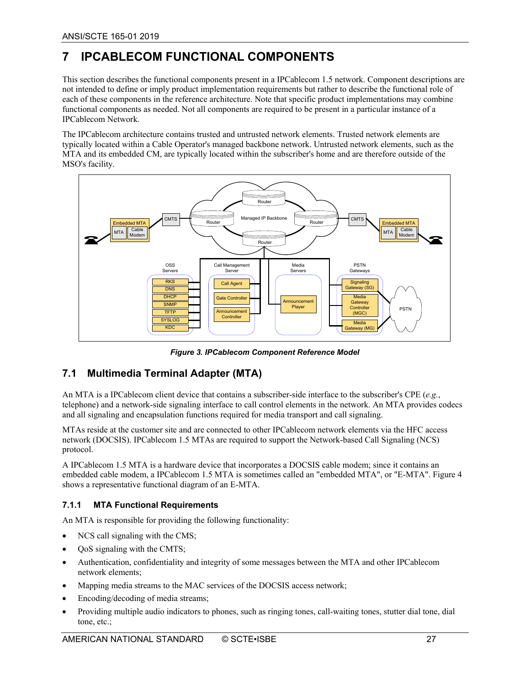## <span id="page-26-0"></span>**7 IPCABLECOM FUNCTIONAL COMPONENTS**

This section describes the functional components present in a IPCablecom 1.5 network. Component descriptions are not intended to define or imply product implementation requirements but rather to describe the functional role of each of these components in the reference architecture. Note that specific product implementations may combine functional components as needed. Not all components are required to be present in a particular instance of a IPCablecom Network.

The IPCablecom architecture contains trusted and untrusted network elements. Trusted network elements are typically located within a Cable Operator's managed backbone network. Untrusted network elements, such as the MTA and its embedded CM, are typically located within the subscriber's home and are therefore outside of the MSO's facility.



*Figure 3. IPCablecom Component Reference Model*

## <span id="page-26-1"></span>**7.1 Multimedia Terminal Adapter (MTA)**

An MTA is a IPCablecom client device that contains a subscriber-side interface to the subscriber's CPE (*e.g.*, telephone) and a network-side signaling interface to call control elements in the network. An MTA provides codecs and all signaling and encapsulation functions required for media transport and call signaling.

MTAs reside at the customer site and are connected to other IPCablecom network elements via the HFC access network (DOCSIS). IPCablecom 1.5 MTAs are required to support the Network-based Call Signaling (NCS) protocol.

A IPCablecom 1.5 MTA is a hardware device that incorporates a DOCSIS cable modem; since it contains an embedded cable modem, a IPCablecom 1.5 MTA is sometimes called an "embedded MTA", or "E-MTA". [Figure 4](#page-27-3) shows a representative functional diagram of an E-MTA.

#### <span id="page-26-2"></span>**7.1.1 MTA Functional Requirements**

An MTA is responsible for providing the following functionality:

- NCS call signaling with the CMS;
- QoS signaling with the CMTS;
- Authentication, confidentiality and integrity of some messages between the MTA and other IPCablecom network elements;
- Mapping media streams to the MAC services of the DOCSIS access network;
- Encoding/decoding of media streams;
- Providing multiple audio indicators to phones, such as ringing tones, call-waiting tones, stutter dial tone, dial tone, etc.;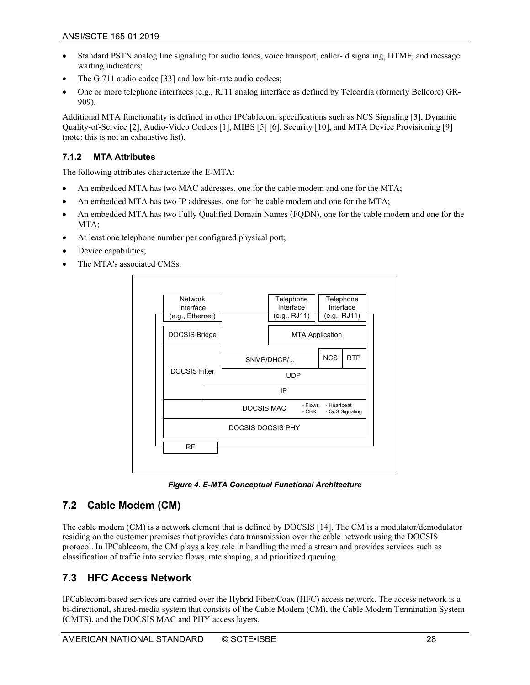- Standard PSTN analog line signaling for audio tones, voice transport, caller-id signaling, DTMF, and message waiting indicators;
- The G.711 audio codec [\[33\]](#page-9-1) and low bit-rate audio codecs;
- One or more telephone interfaces (e.g., RJ11 analog interface as defined by Telcordia (formerly Bellcore) GR-909).

Additional MTA functionality is defined in other IPCablecom specifications such as NCS Signalin[g \[3\],](#page-8-4) Dynamic Quality-of-Servic[e \[2\],](#page-8-5) Audio-Video Codecs [\[1\],](#page-8-6) MIBS [\[5\]](#page-8-7) [\[6\],](#page-8-8) Securit[y \[10\],](#page-8-9) and MTA Device Provisioning [\[9\]](#page-8-10) (note: this is not an exhaustive list).

#### <span id="page-27-0"></span>**7.1.2 MTA Attributes**

The following attributes characterize the E-MTA:

- An embedded MTA has two MAC addresses, one for the cable modem and one for the MTA;
- An embedded MTA has two IP addresses, one for the cable modem and one for the MTA;
- An embedded MTA has two Fully Qualified Domain Names (FQDN), one for the cable modem and one for the MTA;
- At least one telephone number per configured physical port;
- Device capabilities;
- The MTA's associated CMSs.



*Figure 4. E-MTA Conceptual Functional Architecture*

#### <span id="page-27-3"></span><span id="page-27-1"></span>**7.2 Cable Modem (CM)**

The cable modem (CM) is a network element that is defined by DOCSIS [\[14\].](#page-8-3) The CM is a modulator/demodulator residing on the customer premises that provides data transmission over the cable network using the DOCSIS protocol. In IPCablecom, the CM plays a key role in handling the media stream and provides services such as classification of traffic into service flows, rate shaping, and prioritized queuing.

## <span id="page-27-2"></span>**7.3 HFC Access Network**

IPCablecom-based services are carried over the Hybrid Fiber/Coax (HFC) access network. The access network is a bi-directional, shared-media system that consists of the Cable Modem (CM), the Cable Modem Termination System (CMTS), and the DOCSIS MAC and PHY access layers.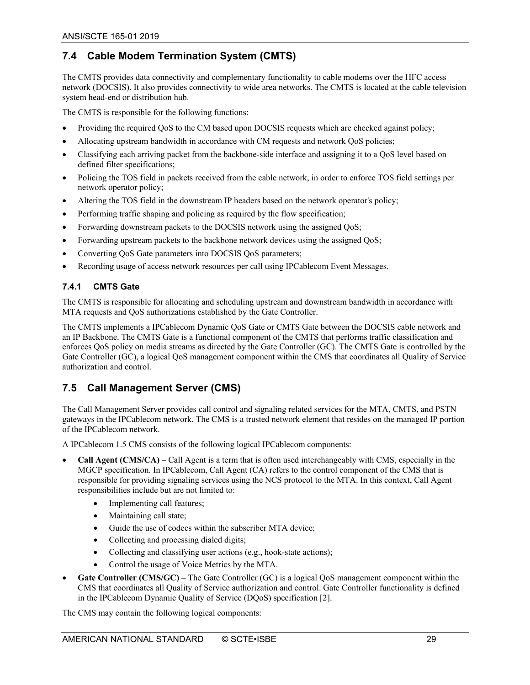## <span id="page-28-0"></span>**7.4 Cable Modem Termination System (CMTS)**

The CMTS provides data connectivity and complementary functionality to cable modems over the HFC access network (DOCSIS). It also provides connectivity to wide area networks. The CMTS is located at the cable television system head-end or distribution hub.

The CMTS is responsible for the following functions:

- Providing the required QoS to the CM based upon DOCSIS requests which are checked against policy;
- Allocating upstream bandwidth in accordance with CM requests and network QoS policies;
- Classifying each arriving packet from the backbone-side interface and assigning it to a QoS level based on defined filter specifications;
- Policing the TOS field in packets received from the cable network, in order to enforce TOS field settings per network operator policy;
- Altering the TOS field in the downstream IP headers based on the network operator's policy;
- Performing traffic shaping and policing as required by the flow specification;
- Forwarding downstream packets to the DOCSIS network using the assigned QoS;
- Forwarding upstream packets to the backbone network devices using the assigned QoS;
- Converting QoS Gate parameters into DOCSIS QoS parameters;
- Recording usage of access network resources per call using IPCablecom Event Messages.

#### <span id="page-28-1"></span>**7.4.1 CMTS Gate**

The CMTS is responsible for allocating and scheduling upstream and downstream bandwidth in accordance with MTA requests and QoS authorizations established by the Gate Controller.

The CMTS implements a IPCablecom Dynamic QoS Gate or CMTS Gate between the DOCSIS cable network and an IP Backbone. The CMTS Gate is a functional component of the CMTS that performs traffic classification and enforces QoS policy on media streams as directed by the Gate Controller (GC). The CMTS Gate is controlled by the Gate Controller (GC), a logical QoS management component within the CMS that coordinates all Quality of Service authorization and control.

#### <span id="page-28-2"></span>**7.5 Call Management Server (CMS)**

The Call Management Server provides call control and signaling related services for the MTA, CMTS, and PSTN gateways in the IPCablecom network. The CMS is a trusted network element that resides on the managed IP portion of the IPCablecom network.

A IPCablecom 1.5 CMS consists of the following logical IPCablecom components:

- **Call Agent (CMS/CA)**  Call Agent is a term that is often used interchangeably with CMS, especially in the MGCP specification. In IPCablecom, Call Agent (CA) refers to the control component of the CMS that is responsible for providing signaling services using the NCS protocol to the MTA. In this context, Call Agent responsibilities include but are not limited to:
	- Implementing call features;
	- Maintaining call state;
	- Guide the use of codecs within the subscriber MTA device;
	- Collecting and processing dialed digits;
	- Collecting and classifying user actions (e.g., hook-state actions);
	- Control the usage of Voice Metrics by the MTA.
- Gate Controller (CMS/GC) The Gate Controller (GC) is a logical QoS management component within the CMS that coordinates all Quality of Service authorization and control. Gate Controller functionality is defined in the IPCablecom Dynamic Quality of Service (DQoS) specificatio[n \[2\].](#page-8-5)

The CMS may contain the following logical components: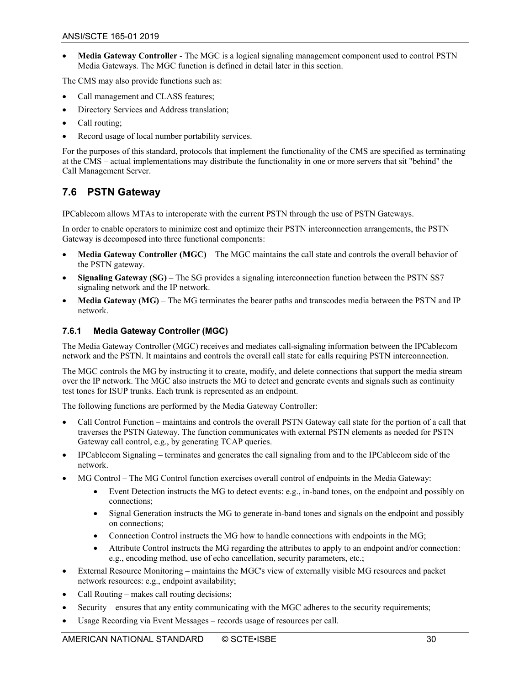• **Media Gateway Controller** - The MGC is a logical signaling management component used to control PSTN Media Gateways. The MGC function is defined in detail later in this section.

The CMS may also provide functions such as:

- Call management and CLASS features;
- Directory Services and Address translation;
- Call routing;
- Record usage of local number portability services.

For the purposes of this standard, protocols that implement the functionality of the CMS are specified as terminating at the CMS – actual implementations may distribute the functionality in one or more servers that sit "behind" the Call Management Server.

#### <span id="page-29-0"></span>**7.6 PSTN Gateway**

IPCablecom allows MTAs to interoperate with the current PSTN through the use of PSTN Gateways.

In order to enable operators to minimize cost and optimize their PSTN interconnection arrangements, the PSTN Gateway is decomposed into three functional components:

- **Media Gateway Controller (MGC)** The MGC maintains the call state and controls the overall behavior of the PSTN gateway.
- **Signaling Gateway (SG)** The SG provides a signaling interconnection function between the PSTN SS7 signaling network and the IP network.
- **Media Gateway (MG)**  The MG terminates the bearer paths and transcodes media between the PSTN and IP network.

#### <span id="page-29-1"></span>**7.6.1 Media Gateway Controller (MGC)**

The Media Gateway Controller (MGC) receives and mediates call-signaling information between the IPCablecom network and the PSTN. It maintains and controls the overall call state for calls requiring PSTN interconnection.

The MGC controls the MG by instructing it to create, modify, and delete connections that support the media stream over the IP network. The MGC also instructs the MG to detect and generate events and signals such as continuity test tones for ISUP trunks. Each trunk is represented as an endpoint.

The following functions are performed by the Media Gateway Controller:

- Call Control Function maintains and controls the overall PSTN Gateway call state for the portion of a call that traverses the PSTN Gateway. The function communicates with external PSTN elements as needed for PSTN Gateway call control, e.g., by generating TCAP queries.
- IPCablecom Signaling terminates and generates the call signaling from and to the IPCablecom side of the network.
- MG Control The MG Control function exercises overall control of endpoints in the Media Gateway:
	- Event Detection instructs the MG to detect events: e.g., in-band tones, on the endpoint and possibly on connections;
	- Signal Generation instructs the MG to generate in-band tones and signals on the endpoint and possibly on connections;
	- Connection Control instructs the MG how to handle connections with endpoints in the MG;
	- Attribute Control instructs the MG regarding the attributes to apply to an endpoint and/or connection: e.g., encoding method, use of echo cancellation, security parameters, etc.;
- External Resource Monitoring maintains the MGC's view of externally visible MG resources and packet network resources: e.g., endpoint availability;
- Call Routing makes call routing decisions;
- Security ensures that any entity communicating with the MGC adheres to the security requirements;
- Usage Recording via Event Messages records usage of resources per call.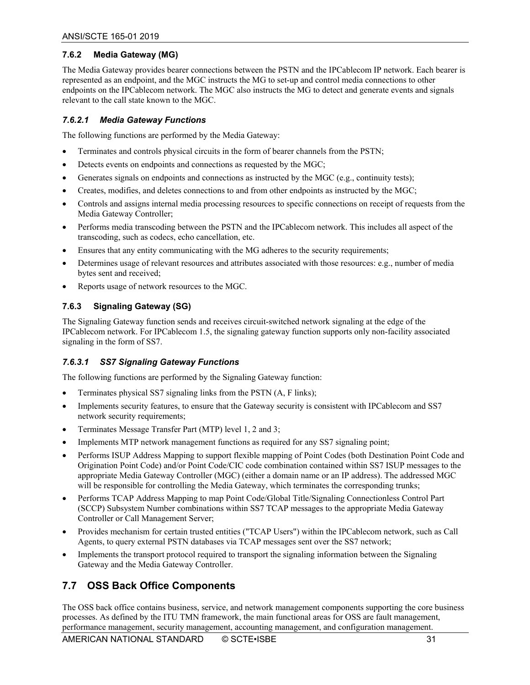#### <span id="page-30-0"></span>**7.6.2 Media Gateway (MG)**

The Media Gateway provides bearer connections between the PSTN and the IPCablecom IP network. Each bearer is represented as an endpoint, and the MGC instructs the MG to set-up and control media connections to other endpoints on the IPCablecom network. The MGC also instructs the MG to detect and generate events and signals relevant to the call state known to the MGC.

#### *7.6.2.1 Media Gateway Functions*

The following functions are performed by the Media Gateway:

- Terminates and controls physical circuits in the form of bearer channels from the PSTN;
- Detects events on endpoints and connections as requested by the MGC;
- Generates signals on endpoints and connections as instructed by the MGC (e.g., continuity tests);
- Creates, modifies, and deletes connections to and from other endpoints as instructed by the MGC;
- Controls and assigns internal media processing resources to specific connections on receipt of requests from the Media Gateway Controller;
- Performs media transcoding between the PSTN and the IPCablecom network. This includes all aspect of the transcoding, such as codecs, echo cancellation, etc.
- Ensures that any entity communicating with the MG adheres to the security requirements;
- Determines usage of relevant resources and attributes associated with those resources: e.g., number of media bytes sent and received;
- Reports usage of network resources to the MGC.

#### <span id="page-30-1"></span>**7.6.3 Signaling Gateway (SG)**

The Signaling Gateway function sends and receives circuit-switched network signaling at the edge of the IPCablecom network. For IPCablecom 1.5, the signaling gateway function supports only non-facility associated signaling in the form of SS7.

#### *7.6.3.1 SS7 Signaling Gateway Functions*

The following functions are performed by the Signaling Gateway function:

- Terminates physical SS7 signaling links from the PSTN (A, F links);
- Implements security features, to ensure that the Gateway security is consistent with IPCablecom and SS7 network security requirements;
- Terminates Message Transfer Part (MTP) level 1, 2 and 3;
- Implements MTP network management functions as required for any SS7 signaling point;
- Performs ISUP Address Mapping to support flexible mapping of Point Codes (both Destination Point Code and Origination Point Code) and/or Point Code/CIC code combination contained within SS7 ISUP messages to the appropriate Media Gateway Controller (MGC) (either a domain name or an IP address). The addressed MGC will be responsible for controlling the Media Gateway, which terminates the corresponding trunks;
- Performs TCAP Address Mapping to map Point Code/Global Title/Signaling Connectionless Control Part (SCCP) Subsystem Number combinations within SS7 TCAP messages to the appropriate Media Gateway Controller or Call Management Server;
- Provides mechanism for certain trusted entities ("TCAP Users") within the IPCablecom network, such as Call Agents, to query external PSTN databases via TCAP messages sent over the SS7 network;
- Implements the transport protocol required to transport the signaling information between the Signaling Gateway and the Media Gateway Controller.

#### <span id="page-30-2"></span>**7.7 OSS Back Office Components**

The OSS back office contains business, service, and network management components supporting the core business processes. As defined by the ITU TMN framework, the main functional areas for OSS are fault management, performance management, security management, accounting management, and configuration management.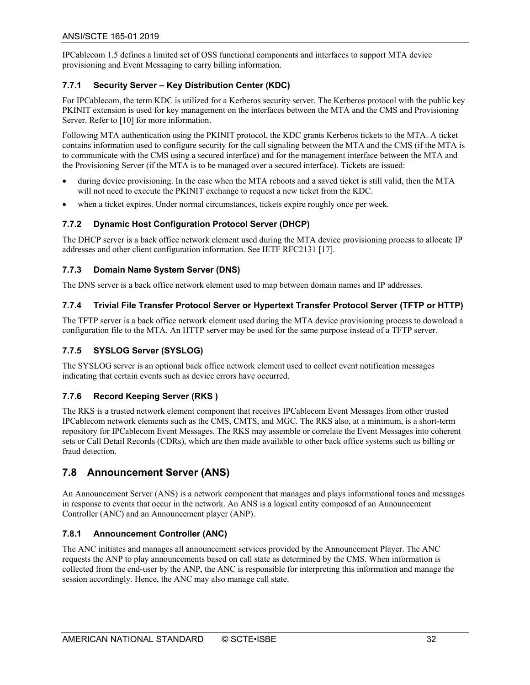IPCablecom 1.5 defines a limited set of OSS functional components and interfaces to support MTA device provisioning and Event Messaging to carry billing information.

#### <span id="page-31-0"></span>**7.7.1 Security Server – Key Distribution Center (KDC)**

For IPCablecom, the term KDC is utilized for a Kerberos security server. The Kerberos protocol with the public key PKINIT extension is used for key management on the interfaces between the MTA and the CMS and Provisioning Server. Refer to [\[10\]](#page-8-9) for more information.

Following MTA authentication using the PKINIT protocol, the KDC grants Kerberos tickets to the MTA. A ticket contains information used to configure security for the call signaling between the MTA and the CMS (if the MTA is to communicate with the CMS using a secured interface) and for the management interface between the MTA and the Provisioning Server (if the MTA is to be managed over a secured interface). Tickets are issued:

- during device provisioning. In the case when the MTA reboots and a saved ticket is still valid, then the MTA will not need to execute the PKINIT exchange to request a new ticket from the KDC.
- when a ticket expires. Under normal circumstances, tickets expire roughly once per week.

#### <span id="page-31-1"></span>**7.7.2 Dynamic Host Configuration Protocol Server (DHCP)**

The DHCP server is a back office network element used during the MTA device provisioning process to allocate IP addresses and other client configuration information. See IETF RFC2131 [\[17\].](#page-8-11)

#### <span id="page-31-2"></span>**7.7.3 Domain Name System Server (DNS)**

The DNS server is a back office network element used to map between domain names and IP addresses.

#### <span id="page-31-3"></span>**7.7.4 Trivial File Transfer Protocol Server or Hypertext Transfer Protocol Server (TFTP or HTTP)**

The TFTP server is a back office network element used during the MTA device provisioning process to download a configuration file to the MTA. An HTTP server may be used for the same purpose instead of a TFTP server.

#### <span id="page-31-4"></span>**7.7.5 SYSLOG Server (SYSLOG)**

The SYSLOG server is an optional back office network element used to collect event notification messages indicating that certain events such as device errors have occurred.

#### <span id="page-31-5"></span>**7.7.6 Record Keeping Server (RKS )**

The RKS is a trusted network element component that receives IPCablecom Event Messages from other trusted IPCablecom network elements such as the CMS, CMTS, and MGC. The RKS also, at a minimum, is a short-term repository for IPCablecom Event Messages. The RKS may assemble or correlate the Event Messages into coherent sets or Call Detail Records (CDRs), which are then made available to other back office systems such as billing or fraud detection.

#### <span id="page-31-6"></span>**7.8 Announcement Server (ANS)**

An Announcement Server (ANS) is a network component that manages and plays informational tones and messages in response to events that occur in the network. An ANS is a logical entity composed of an Announcement Controller (ANC) and an Announcement player (ANP).

#### <span id="page-31-7"></span>**7.8.1 Announcement Controller (ANC)**

The ANC initiates and manages all announcement services provided by the Announcement Player. The ANC requests the ANP to play announcements based on call state as determined by the CMS. When information is collected from the end-user by the ANP, the ANC is responsible for interpreting this information and manage the session accordingly. Hence, the ANC may also manage call state.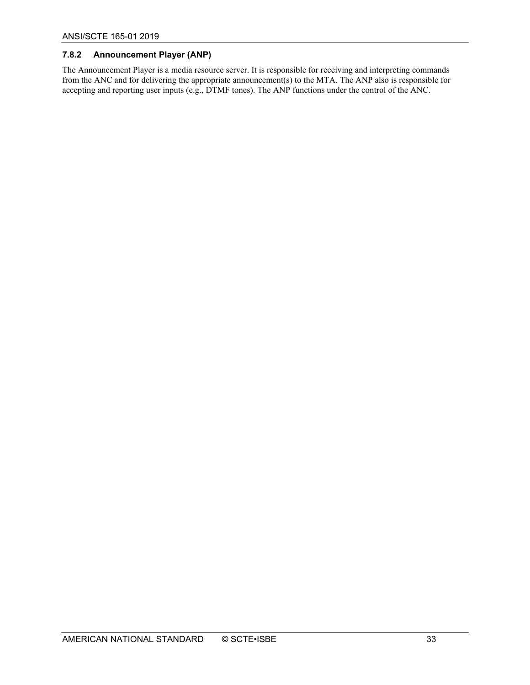#### <span id="page-32-0"></span>**7.8.2 Announcement Player (ANP)**

The Announcement Player is a media resource server. It is responsible for receiving and interpreting commands from the ANC and for delivering the appropriate announcement(s) to the MTA. The ANP also is responsible for accepting and reporting user inputs (e.g., DTMF tones). The ANP functions under the control of the ANC.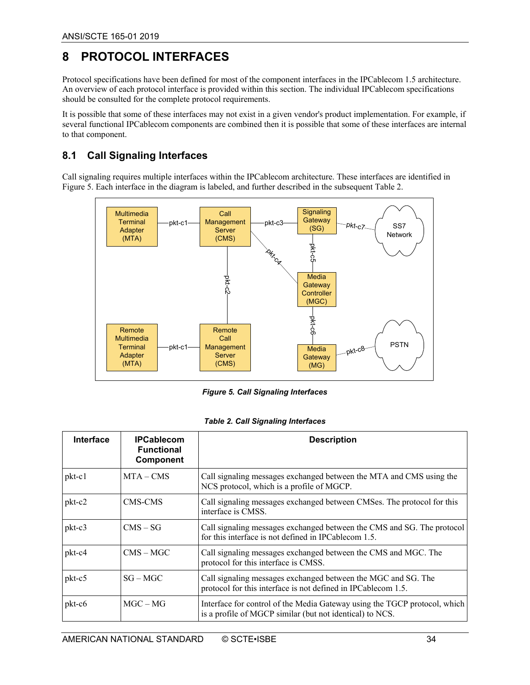## <span id="page-33-0"></span>**8 PROTOCOL INTERFACES**

Protocol specifications have been defined for most of the component interfaces in the IPCablecom 1.5 architecture. An overview of each protocol interface is provided within this section. The individual IPCablecom specifications should be consulted for the complete protocol requirements.

It is possible that some of these interfaces may not exist in a given vendor's product implementation. For example, if several functional IPCablecom components are combined then it is possible that some of these interfaces are internal to that component.

#### <span id="page-33-1"></span>**8.1 Call Signaling Interfaces**

Call signaling requires multiple interfaces within the IPCablecom architecture. These interfaces are identified in [Figure 5.](#page-33-3) Each interface in the diagram is labeled, and further described in the subsequent [Table 2.](#page-33-2)



*Figure 5. Call Signaling Interfaces*

<span id="page-33-3"></span><span id="page-33-2"></span>

| <b>Interface</b> | <b>IPCablecom</b><br><b>Functional</b><br><b>Component</b> | <b>Description</b>                                                                                                                    |
|------------------|------------------------------------------------------------|---------------------------------------------------------------------------------------------------------------------------------------|
| $pkt-c1$         | $MTA - CMS$                                                | Call signaling messages exchanged between the MTA and CMS using the<br>NCS protocol, which is a profile of MGCP.                      |
| pkt-c2           | CMS-CMS                                                    | Call signaling messages exchanged between CMSes. The protocol for this<br>interface is CMSS.                                          |
| $pkt-c3$         | $CMS - SG$                                                 | Call signaling messages exchanged between the CMS and SG. The protocol<br>for this interface is not defined in IPCablecom 1.5.        |
| pkt-c4           | $CMS - MGC$                                                | Call signaling messages exchanged between the CMS and MGC. The<br>protocol for this interface is CMSS.                                |
| pkt-c5           | $SG - MGC$                                                 | Call signaling messages exchanged between the MGC and SG. The<br>protocol for this interface is not defined in IPCablecom 1.5.        |
| $pkt-c6$         | $MGC - MG$                                                 | Interface for control of the Media Gateway using the TGCP protocol, which<br>is a profile of MGCP similar (but not identical) to NCS. |

#### *Table 2. Call Signaling Interfaces*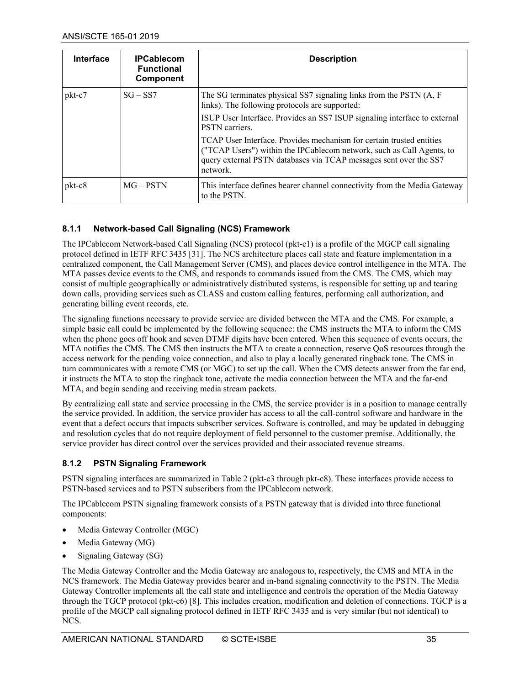| <b>Interface</b> | <b>IPCablecom</b><br><b>Functional</b><br><b>Component</b> | <b>Description</b>                                                                                                                                                                                                             |
|------------------|------------------------------------------------------------|--------------------------------------------------------------------------------------------------------------------------------------------------------------------------------------------------------------------------------|
| pkt-c7           | $SG - SS7$                                                 | The SG terminates physical SS7 signaling links from the PSTN (A, F<br>links). The following protocols are supported:                                                                                                           |
|                  |                                                            | ISUP User Interface. Provides an SS7 ISUP signaling interface to external<br>PSTN carriers.                                                                                                                                    |
|                  |                                                            | TCAP User Interface. Provides mechanism for certain trusted entities<br>("TCAP Users") within the IPCablecom network, such as Call Agents, to<br>query external PSTN databases via TCAP messages sent over the SS7<br>network. |
| pkt-c8           | $MG - PSTN$                                                | This interface defines bearer channel connectivity from the Media Gateway<br>to the PSTN.                                                                                                                                      |

#### <span id="page-34-0"></span>**8.1.1 Network-based Call Signaling (NCS) Framework**

The IPCablecom Network-based Call Signaling (NCS) protocol (pkt-c1) is a profile of the MGCP call signaling protocol defined in IETF RFC 3435 [\[31\].](#page-9-2) The NCS architecture places call state and feature implementation in a centralized component, the Call Management Server (CMS), and places device control intelligence in the MTA. The MTA passes device events to the CMS, and responds to commands issued from the CMS. The CMS, which may consist of multiple geographically or administratively distributed systems, is responsible for setting up and tearing down calls, providing services such as CLASS and custom calling features, performing call authorization, and generating billing event records, etc.

The signaling functions necessary to provide service are divided between the MTA and the CMS. For example, a simple basic call could be implemented by the following sequence: the CMS instructs the MTA to inform the CMS when the phone goes off hook and seven DTMF digits have been entered. When this sequence of events occurs, the MTA notifies the CMS. The CMS then instructs the MTA to create a connection, reserve QoS resources through the access network for the pending voice connection, and also to play a locally generated ringback tone. The CMS in turn communicates with a remote CMS (or MGC) to set up the call. When the CMS detects answer from the far end, it instructs the MTA to stop the ringback tone, activate the media connection between the MTA and the far-end MTA, and begin sending and receiving media stream packets.

By centralizing call state and service processing in the CMS, the service provider is in a position to manage centrally the service provided. In addition, the service provider has access to all the call-control software and hardware in the event that a defect occurs that impacts subscriber services. Software is controlled, and may be updated in debugging and resolution cycles that do not require deployment of field personnel to the customer premise. Additionally, the service provider has direct control over the services provided and their associated revenue streams.

#### <span id="page-34-1"></span>**8.1.2 PSTN Signaling Framework**

PSTN signaling interfaces are summarized in [Table 2](#page-33-2) (pkt-c3 through pkt-c8). These interfaces provide access to PSTN-based services and to PSTN subscribers from the IPCablecom network.

The IPCablecom PSTN signaling framework consists of a PSTN gateway that is divided into three functional components:

- Media Gateway Controller (MGC)
- Media Gateway (MG)
- Signaling Gateway (SG)

The Media Gateway Controller and the Media Gateway are analogous to, respectively, the CMS and MTA in the NCS framework. The Media Gateway provides bearer and in-band signaling connectivity to the PSTN. The Media Gateway Controller implements all the call state and intelligence and controls the operation of the Media Gateway through the TGCP protocol (pkt-c6) [\[8\].](#page-8-12) This includes creation, modification and deletion of connections. TGCP is a profile of the MGCP call signaling protocol defined in IETF RFC 3435 and is very similar (but not identical) to NCS.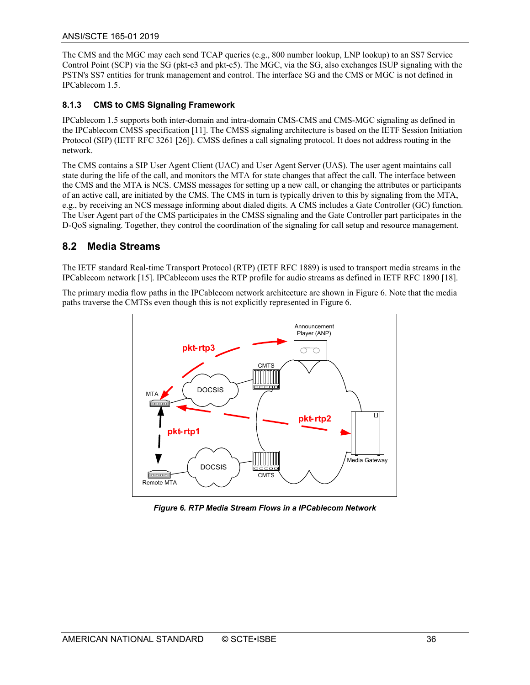The CMS and the MGC may each send TCAP queries (e.g., 800 number lookup, LNP lookup) to an SS7 Service Control Point (SCP) via the SG (pkt-c3 and pkt-c5). The MGC, via the SG, also exchanges ISUP signaling with the PSTN's SS7 entities for trunk management and control. The interface SG and the CMS or MGC is not defined in IPCablecom 1.5.

#### <span id="page-35-0"></span>**8.1.3 CMS to CMS Signaling Framework**

IPCablecom 1.5 supports both inter-domain and intra-domain CMS-CMS and CMS-MGC signaling as defined in the IPCablecom CMSS specification [\[11\].](#page-8-13) The CMSS signaling architecture is based on the IETF Session Initiation Protocol (SIP) (IETF RFC 3261 [\[26\]\)](#page-8-14). CMSS defines a call signaling protocol. It does not address routing in the network.

The CMS contains a SIP User Agent Client (UAC) and User Agent Server (UAS). The user agent maintains call state during the life of the call, and monitors the MTA for state changes that affect the call. The interface between the CMS and the MTA is NCS. CMSS messages for setting up a new call, or changing the attributes or participants of an active call, are initiated by the CMS. The CMS in turn is typically driven to this by signaling from the MTA, e.g., by receiving an NCS message informing about dialed digits. A CMS includes a Gate Controller (GC) function. The User Agent part of the CMS participates in the CMSS signaling and the Gate Controller part participates in the D-QoS signaling. Together, they control the coordination of the signaling for call setup and resource management.

#### <span id="page-35-1"></span>**8.2 Media Streams**

The IETF standard Real-time Transport Protocol (RTP) (IETF RFC 1889) is used to transport media streams in the IPCablecom network [\[15\].](#page-8-15) IPCablecom uses the RTP profile for audio streams as defined in IETF RFC 1890 [\[18\].](#page-8-16)

The primary media flow paths in the IPCablecom network architecture are shown in [Figure 6.](#page-35-2) Note that the media paths traverse the CMTSs even though this is not explicitly represented in [Figure 6.](#page-35-2)



<span id="page-35-2"></span>*Figure 6. RTP Media Stream Flows in a IPCablecom Network*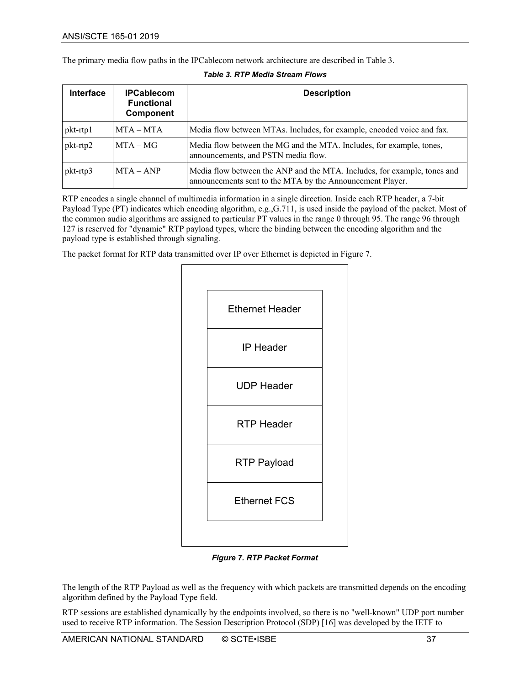The primary media flow paths in the IPCablecom network architecture are described in [Table 3.](#page-36-0)

<span id="page-36-0"></span>

| <b>Interface</b>          | <b>IPCablecom</b><br><b>Functional</b><br><b>Component</b> | <b>Description</b>                                                                                                                    |
|---------------------------|------------------------------------------------------------|---------------------------------------------------------------------------------------------------------------------------------------|
| pkt-rtp1                  | $MTA - MTA$                                                | Media flow between MTAs. Includes, for example, encoded voice and fax.                                                                |
| pkt-rtp2                  | $MTA - MG$                                                 | Media flow between the MG and the MTA. Includes, for example, tones,<br>announcements, and PSTN media flow.                           |
| $pkt$ -rtp $\overline{3}$ | $MTA - AND$                                                | Media flow between the ANP and the MTA. Includes, for example, tones and<br>announcements sent to the MTA by the Announcement Player. |

| <b>Table 3. RTP Media Stream Flows</b> |  |  |
|----------------------------------------|--|--|
|                                        |  |  |

RTP encodes a single channel of multimedia information in a single direction. Inside each RTP header, a 7-bit Payload Type (PT) indicates which encoding algorithm, e.g.,G.711, is used inside the payload of the packet. Most of the common audio algorithms are assigned to particular PT values in the range 0 through 95. The range 96 through 127 is reserved for "dynamic" RTP payload types, where the binding between the encoding algorithm and the payload type is established through signaling.

The packet format for RTP data transmitted over IP over Ethernet is depicted i[n Figure 7.](#page-36-1)



*Figure 7. RTP Packet Format*

<span id="page-36-1"></span>The length of the RTP Payload as well as the frequency with which packets are transmitted depends on the encoding algorithm defined by the Payload Type field.

RTP sessions are established dynamically by the endpoints involved, so there is no "well-known" UDP port number used to receive RTP information. The Session Description Protocol (SDP[\) \[16\]](#page-8-17) was developed by the IETF to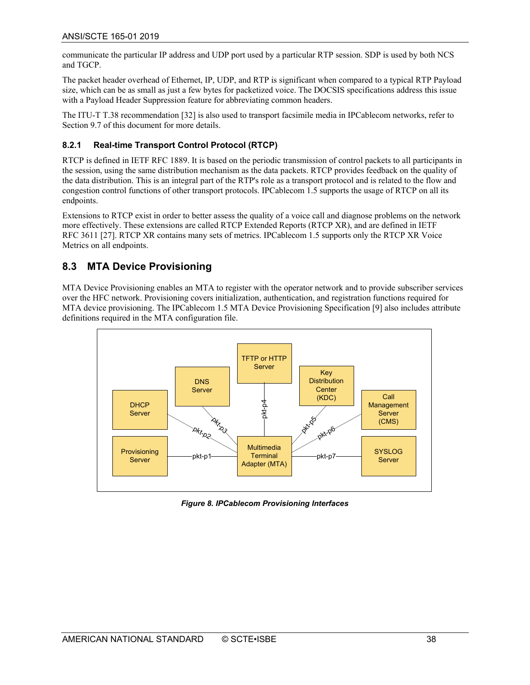communicate the particular IP address and UDP port used by a particular RTP session. SDP is used by both NCS and TGCP.

The packet header overhead of Ethernet, IP, UDP, and RTP is significant when compared to a typical RTP Payload size, which can be as small as just a few bytes for packetized voice. The DOCSIS specifications address this issue with a Payload Header Suppression feature for abbreviating common headers.

The ITU-T T.38 recommendation [\[32\]](#page-9-3) is also used to transport facsimile media in IPCablecom networks, refer to Sectio[n 9.7](#page-51-2) of this document for more details.

#### <span id="page-37-0"></span>**8.2.1 Real-time Transport Control Protocol (RTCP)**

RTCP is defined in IETF RFC 1889. It is based on the periodic transmission of control packets to all participants in the session, using the same distribution mechanism as the data packets. RTCP provides feedback on the quality of the data distribution. This is an integral part of the RTP's role as a transport protocol and is related to the flow and congestion control functions of other transport protocols. IPCablecom 1.5 supports the usage of RTCP on all its endpoints.

Extensions to RTCP exist in order to better assess the quality of a voice call and diagnose problems on the network more effectively. These extensions are called RTCP Extended Reports (RTCP XR), and are defined in IETF RFC 3611 [\[27\].](#page-8-18) RTCP XR contains many sets of metrics. IPCablecom 1.5 supports only the RTCP XR Voice Metrics on all endpoints.

#### <span id="page-37-1"></span>**8.3 MTA Device Provisioning**

MTA Device Provisioning enables an MTA to register with the operator network and to provide subscriber services over the HFC network. Provisioning covers initialization, authentication, and registration functions required for MTA device provisioning. The IPCablecom 1.5 MTA Device Provisioning Specification [\[9\]](#page-8-10) also includes attribute definitions required in the MTA configuration file.



<span id="page-37-2"></span>*Figure 8. IPCablecom Provisioning Interfaces*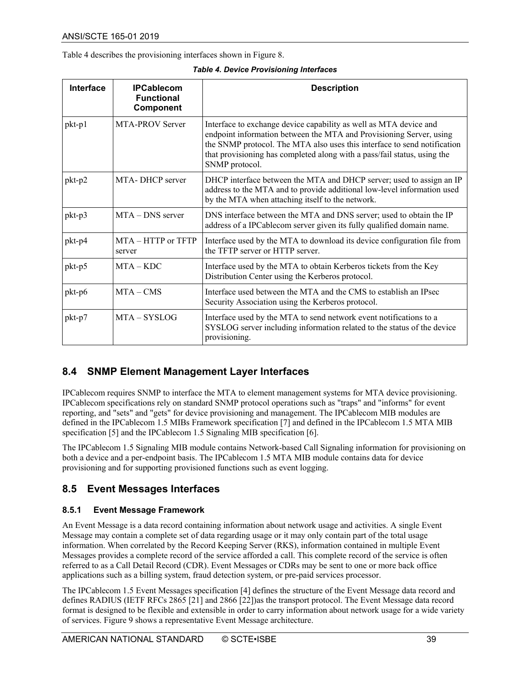<span id="page-38-3"></span>[Table 4](#page-38-3) describes the provisioning interfaces shown i[n Figure 8.](#page-37-2)

*Table 4. Device Provisioning Interfaces*

| <b>Interface</b> | <b>IPCablecom</b><br><b>Functional</b><br>Component | <b>Description</b>                                                                                                                                                                                                                                                                                                 |
|------------------|-----------------------------------------------------|--------------------------------------------------------------------------------------------------------------------------------------------------------------------------------------------------------------------------------------------------------------------------------------------------------------------|
| $pkt-p1$         | MTA-PROV Server                                     | Interface to exchange device capability as well as MTA device and<br>endpoint information between the MTA and Provisioning Server, using<br>the SNMP protocol. The MTA also uses this interface to send notification<br>that provisioning has completed along with a pass/fail status, using the<br>SNMP protocol. |
| pkt-p2           | MTA-DHCP server                                     | DHCP interface between the MTA and DHCP server; used to assign an IP<br>address to the MTA and to provide additional low-level information used<br>by the MTA when attaching itself to the network.                                                                                                                |
| pkt-p3           | MTA - DNS server                                    | DNS interface between the MTA and DNS server; used to obtain the IP<br>address of a IPCablecom server given its fully qualified domain name.                                                                                                                                                                       |
| pkt-p4           | $MTA - HTTP$ or $TFTP$<br>server                    | Interface used by the MTA to download its device configuration file from<br>the TFTP server or HTTP server.                                                                                                                                                                                                        |
| pkt-p5           | $MTA - KDC$                                         | Interface used by the MTA to obtain Kerberos tickets from the Key<br>Distribution Center using the Kerberos protocol.                                                                                                                                                                                              |
| pkt-p6           | $MTA - CMS$                                         | Interface used between the MTA and the CMS to establish an IPsec<br>Security Association using the Kerberos protocol.                                                                                                                                                                                              |
| pkt-p7           | $MTA - SYSTEMG$                                     | Interface used by the MTA to send network event notifications to a<br>SYSLOG server including information related to the status of the device<br>provisioning.                                                                                                                                                     |

#### <span id="page-38-0"></span>**8.4 SNMP Element Management Layer Interfaces**

IPCablecom requires SNMP to interface the MTA to element management systems for MTA device provisioning. IPCablecom specifications rely on standard SNMP protocol operations such as "traps" and "informs" for event reporting, and "sets" and "gets" for device provisioning and management. The IPCablecom MIB modules are defined in the IPCablecom 1.5 MIBs Framework specification [\[7\]](#page-8-19) and defined in the IPCablecom 1.5 MTA MIB specificatio[n \[5\]](#page-8-7) and the IPCablecom 1.5 Signaling MIB specification [\[6\].](#page-8-8)

The IPCablecom 1.5 Signaling MIB module contains Network-based Call Signaling information for provisioning on both a device and a per-endpoint basis. The IPCablecom 1.5 MTA MIB module contains data for device provisioning and for supporting provisioned functions such as event logging.

#### <span id="page-38-1"></span>**8.5 Event Messages Interfaces**

#### <span id="page-38-2"></span>**8.5.1 Event Message Framework**

An Event Message is a data record containing information about network usage and activities. A single Event Message may contain a complete set of data regarding usage or it may only contain part of the total usage information. When correlated by the Record Keeping Server (RKS), information contained in multiple Event Messages provides a complete record of the service afforded a call. This complete record of the service is often referred to as a Call Detail Record (CDR). Event Messages or CDRs may be sent to one or more back office applications such as a billing system, fraud detection system, or pre-paid services processor.

The IPCablecom 1.5 Event Messages specification [\[4\]](#page-8-20) defines the structure of the Event Message data record and defines RADIUS (IETF RFCs 2865 [\[21\]](#page-8-21) and 2866 [\[22\]\)](#page-8-22)as the transport protocol. The Event Message data record format is designed to be flexible and extensible in order to carry information about network usage for a wide variety of services. [Figure 9](#page-39-1) shows a representative Event Message architecture.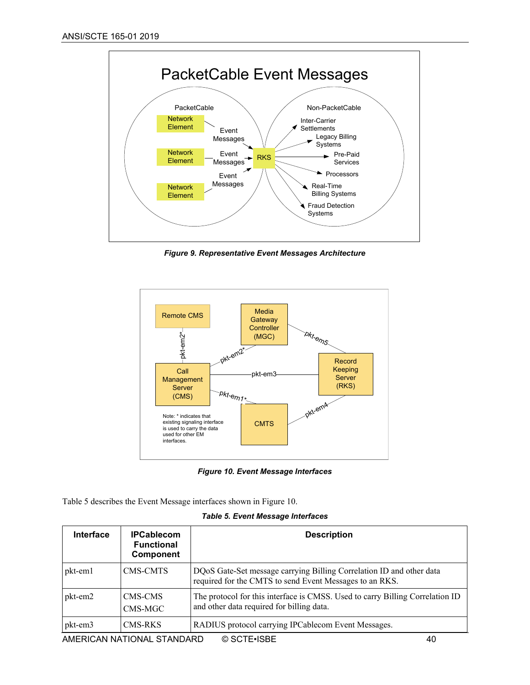

*Figure 9. Representative Event Messages Architecture*

<span id="page-39-1"></span>

*Figure 10. Event Message Interfaces*

<span id="page-39-2"></span>[Table 5](#page-39-0) describes the Event Message interfaces shown in [Figure 10.](#page-39-2)

#### *Table 5. Event Message Interfaces*

<span id="page-39-0"></span>

| <b>Interface</b> | <b>IPCablecom</b><br><b>Functional</b><br><b>Component</b> | <b>Description</b>                                                                                                              |    |
|------------------|------------------------------------------------------------|---------------------------------------------------------------------------------------------------------------------------------|----|
| pkt-em1          | <b>CMS-CMTS</b>                                            | DQoS Gate-Set message carrying Billing Correlation ID and other data<br>required for the CMTS to send Event Messages to an RKS. |    |
| pkt-em2          | CMS-CMS<br>CMS-MGC                                         | The protocol for this interface is CMSS. Used to carry Billing Correlation ID<br>and other data required for billing data.      |    |
| pkt-em3          | CMS-RKS                                                    | RADIUS protocol carrying IPCablecom Event Messages.                                                                             |    |
|                  | AMERICAN NATIONAL STANDARD                                 | © SCTE•ISBE                                                                                                                     | 40 |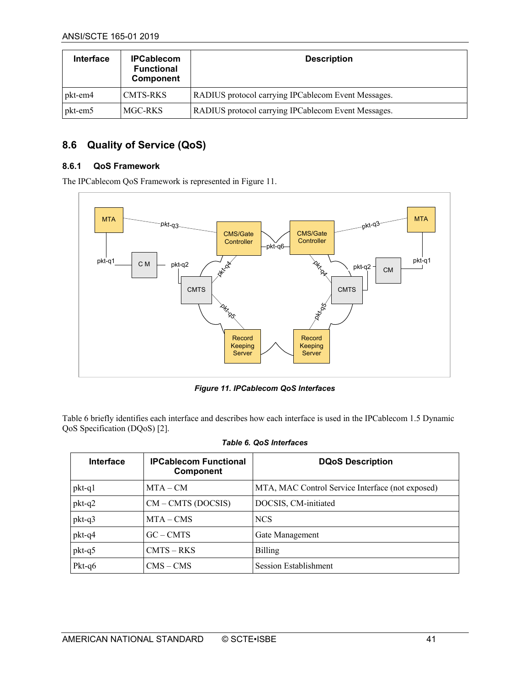| <b>Interface</b> | <b>IPCablecom</b><br><b>Functional</b><br>Component | <b>Description</b>                                  |
|------------------|-----------------------------------------------------|-----------------------------------------------------|
| pkt-em4          | CMTS-RKS                                            | RADIUS protocol carrying IPCablecom Event Messages. |
| pkt-em5          | MGC-RKS                                             | RADIUS protocol carrying IPCablecom Event Messages. |

### <span id="page-40-0"></span>**8.6 Quality of Service (QoS)**

#### <span id="page-40-1"></span>**8.6.1 QoS Framework**

The IPCablecom QoS Framework is represented in [Figure 11.](#page-40-3)



*Figure 11. IPCablecom QoS Interfaces*

<span id="page-40-3"></span>[Table 6](#page-40-2) briefly identifies each interface and describes how each interface is used in the IPCablecom 1.5 Dynamic QoS Specification (DQoS[\) \[2\].](#page-8-5)

<span id="page-40-2"></span>

| <b>Interface</b> | <b>IPCablecom Functional</b><br><b>Component</b> | <b>DQoS Description</b>                          |
|------------------|--------------------------------------------------|--------------------------------------------------|
| pkt-q1           | $MTA - CM$                                       | MTA, MAC Control Service Interface (not exposed) |
| $pkt-q2$         | $CM$ – CMTS (DOCSIS)                             | DOCSIS, CM-initiated                             |
| pkt-q3           | $MTA - CMS$                                      | <b>NCS</b>                                       |
| pkt-q4           | $GC - CMTS$                                      | Gate Management                                  |
| pkt-q5           | $CMTS - RKS$                                     | <b>Billing</b>                                   |
| Pkt-q6           | $CMS - CMS$                                      | Session Establishment                            |

#### *Table 6. QoS Interfaces*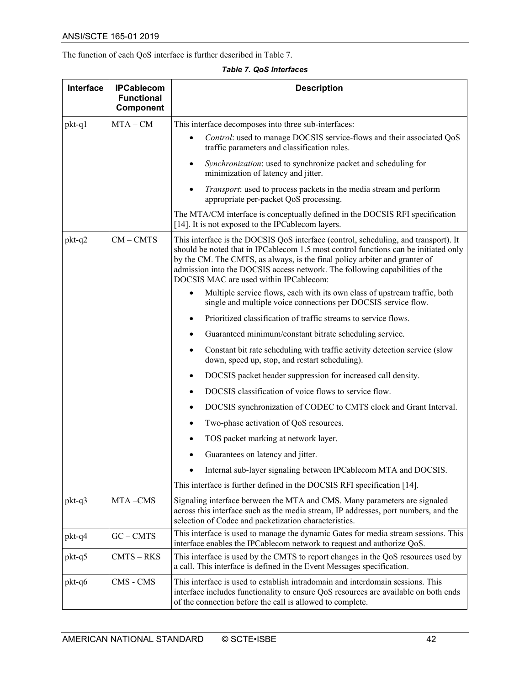The function of each QoS interface is further described in [Table 7.](#page-41-0)

*Table 7. QoS Interfaces*

<span id="page-41-0"></span>

| Interface | <b>IPCablecom</b><br><b>Functional</b> | <b>Description</b>                                                                                                                                                                                                                                                                                                                                                                |
|-----------|----------------------------------------|-----------------------------------------------------------------------------------------------------------------------------------------------------------------------------------------------------------------------------------------------------------------------------------------------------------------------------------------------------------------------------------|
|           | Component                              |                                                                                                                                                                                                                                                                                                                                                                                   |
| pkt-q1    | $MTA - CM$                             | This interface decomposes into three sub-interfaces:                                                                                                                                                                                                                                                                                                                              |
|           |                                        | Control: used to manage DOCSIS service-flows and their associated QoS<br>traffic parameters and classification rules.                                                                                                                                                                                                                                                             |
|           |                                        | Synchronization: used to synchronize packet and scheduling for<br>٠<br>minimization of latency and jitter.                                                                                                                                                                                                                                                                        |
|           |                                        | Transport: used to process packets in the media stream and perform<br>appropriate per-packet QoS processing.                                                                                                                                                                                                                                                                      |
|           |                                        | The MTA/CM interface is conceptually defined in the DOCSIS RFI specification<br>[14]. It is not exposed to the IPCablecom layers.                                                                                                                                                                                                                                                 |
| $pkt-q2$  | $CM - CMTS$                            | This interface is the DOCSIS QoS interface (control, scheduling, and transport). It<br>should be noted that in IPCablecom 1.5 most control functions can be initiated only<br>by the CM. The CMTS, as always, is the final policy arbiter and granter of<br>admission into the DOCSIS access network. The following capabilities of the<br>DOCSIS MAC are used within IPCablecom: |
|           |                                        | Multiple service flows, each with its own class of upstream traffic, both<br>single and multiple voice connections per DOCSIS service flow.                                                                                                                                                                                                                                       |
|           |                                        | Prioritized classification of traffic streams to service flows.<br>$\bullet$                                                                                                                                                                                                                                                                                                      |
|           |                                        | Guaranteed minimum/constant bitrate scheduling service.                                                                                                                                                                                                                                                                                                                           |
|           |                                        | Constant bit rate scheduling with traffic activity detection service (slow<br>down, speed up, stop, and restart scheduling).                                                                                                                                                                                                                                                      |
|           |                                        | DOCSIS packet header suppression for increased call density.                                                                                                                                                                                                                                                                                                                      |
|           |                                        | DOCSIS classification of voice flows to service flow.                                                                                                                                                                                                                                                                                                                             |
|           |                                        | DOCSIS synchronization of CODEC to CMTS clock and Grant Interval.                                                                                                                                                                                                                                                                                                                 |
|           |                                        | Two-phase activation of QoS resources.                                                                                                                                                                                                                                                                                                                                            |
|           |                                        | TOS packet marking at network layer.                                                                                                                                                                                                                                                                                                                                              |
|           |                                        | Guarantees on latency and jitter.                                                                                                                                                                                                                                                                                                                                                 |
|           |                                        | Internal sub-layer signaling between IPCablecom MTA and DOCSIS.                                                                                                                                                                                                                                                                                                                   |
|           |                                        | This interface is further defined in the DOCSIS RFI specification [14].                                                                                                                                                                                                                                                                                                           |
| $pkt-q3$  | MTA-CMS                                | Signaling interface between the MTA and CMS. Many parameters are signaled<br>across this interface such as the media stream, IP addresses, port numbers, and the<br>selection of Codec and packetization characteristics.                                                                                                                                                         |
| pkt-q4    | $GC - CMTS$                            | This interface is used to manage the dynamic Gates for media stream sessions. This<br>interface enables the IPCablecom network to request and authorize QoS.                                                                                                                                                                                                                      |
| pkt-q5    | $CMTS - RKS$                           | This interface is used by the CMTS to report changes in the QoS resources used by<br>a call. This interface is defined in the Event Messages specification.                                                                                                                                                                                                                       |
| pkt-q6    | CMS - CMS                              | This interface is used to establish intradomain and interdomain sessions. This<br>interface includes functionality to ensure QoS resources are available on both ends<br>of the connection before the call is allowed to complete.                                                                                                                                                |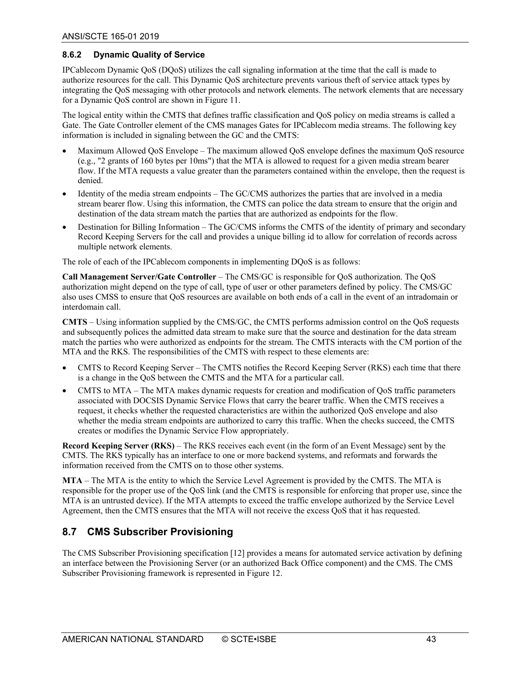#### <span id="page-42-0"></span>**8.6.2 Dynamic Quality of Service**

IPCablecom Dynamic QoS (DQoS) utilizes the call signaling information at the time that the call is made to authorize resources for the call. This Dynamic QoS architecture prevents various theft of service attack types by integrating the QoS messaging with other protocols and network elements. The network elements that are necessary for a Dynamic QoS control are shown in [Figure 11.](#page-40-3)

The logical entity within the CMTS that defines traffic classification and QoS policy on media streams is called a Gate. The Gate Controller element of the CMS manages Gates for IPCablecom media streams. The following key information is included in signaling between the GC and the CMTS:

- Maximum Allowed QoS Envelope The maximum allowed QoS envelope defines the maximum QoS resource (e.g., "2 grants of 160 bytes per 10ms") that the MTA is allowed to request for a given media stream bearer flow. If the MTA requests a value greater than the parameters contained within the envelope, then the request is denied.
- Identity of the media stream endpoints The GC/CMS authorizes the parties that are involved in a media stream bearer flow. Using this information, the CMTS can police the data stream to ensure that the origin and destination of the data stream match the parties that are authorized as endpoints for the flow.
- Destination for Billing Information The GC/CMS informs the CMTS of the identity of primary and secondary Record Keeping Servers for the call and provides a unique billing id to allow for correlation of records across multiple network elements.

The role of each of the IPCablecom components in implementing DQoS is as follows:

**Call Management Server/Gate Controller** – The CMS/GC is responsible for QoS authorization. The QoS authorization might depend on the type of call, type of user or other parameters defined by policy. The CMS/GC also uses CMSS to ensure that QoS resources are available on both ends of a call in the event of an intradomain or interdomain call.

**CMTS** – Using information supplied by the CMS/GC, the CMTS performs admission control on the QoS requests and subsequently polices the admitted data stream to make sure that the source and destination for the data stream match the parties who were authorized as endpoints for the stream. The CMTS interacts with the CM portion of the MTA and the RKS. The responsibilities of the CMTS with respect to these elements are:

- CMTS to Record Keeping Server The CMTS notifies the Record Keeping Server (RKS) each time that there is a change in the QoS between the CMTS and the MTA for a particular call.
- CMTS to MTA The MTA makes dynamic requests for creation and modification of QoS traffic parameters associated with DOCSIS Dynamic Service Flows that carry the bearer traffic. When the CMTS receives a request, it checks whether the requested characteristics are within the authorized QoS envelope and also whether the media stream endpoints are authorized to carry this traffic. When the checks succeed, the CMTS creates or modifies the Dynamic Service Flow appropriately.

**Record Keeping Server (RKS)** – The RKS receives each event (in the form of an Event Message) sent by the CMTS. The RKS typically has an interface to one or more backend systems, and reformats and forwards the information received from the CMTS on to those other systems.

**MTA** – The MTA is the entity to which the Service Level Agreement is provided by the CMTS. The MTA is responsible for the proper use of the QoS link (and the CMTS is responsible for enforcing that proper use, since the MTA is an untrusted device). If the MTA attempts to exceed the traffic envelope authorized by the Service Level Agreement, then the CMTS ensures that the MTA will not receive the excess QoS that it has requested.

#### <span id="page-42-1"></span>**8.7 CMS Subscriber Provisioning**

The CMS Subscriber Provisioning specification [\[12\]](#page-8-23) provides a means for automated service activation by defining an interface between the Provisioning Server (or an authorized Back Office component) and the CMS. The CMS Subscriber Provisioning framework is represented in [Figure 12.](#page-43-1)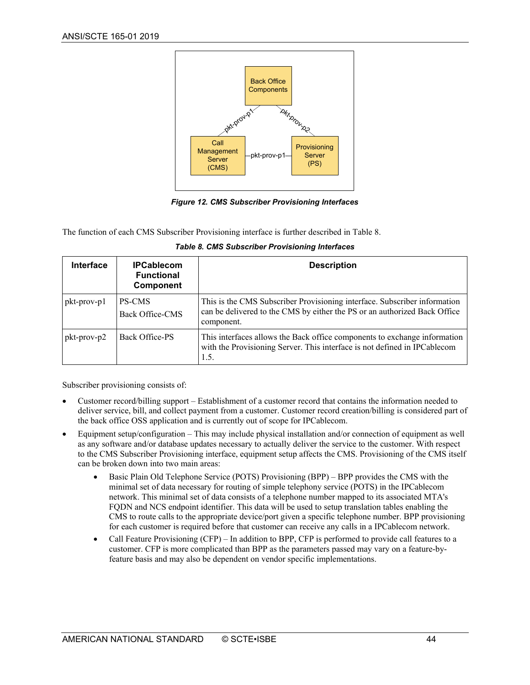

*Figure 12. CMS Subscriber Provisioning Interfaces*

<span id="page-43-1"></span>The function of each CMS Subscriber Provisioning interface is further described in [Table 8.](#page-43-0)

<span id="page-43-0"></span>

| Interface   | <b>IPCablecom</b><br><b>Functional</b><br><b>Component</b> | <b>Description</b>                                                                                                                                                   |
|-------------|------------------------------------------------------------|----------------------------------------------------------------------------------------------------------------------------------------------------------------------|
| pkt-prov-p1 | <b>PS-CMS</b><br><b>Back Office-CMS</b>                    | This is the CMS Subscriber Provisioning interface. Subscriber information<br>can be delivered to the CMS by either the PS or an authorized Back Office<br>component. |
| pkt-prov-p2 | Back Office-PS                                             | This interfaces allows the Back office components to exchange information<br>with the Provisioning Server. This interface is not defined in IPCablecom<br>1.5.       |

*Table 8. CMS Subscriber Provisioning Interfaces*

Subscriber provisioning consists of:

- Customer record/billing support Establishment of a customer record that contains the information needed to deliver service, bill, and collect payment from a customer. Customer record creation/billing is considered part of the back office OSS application and is currently out of scope for IPCablecom.
- Equipment setup/configuration This may include physical installation and/or connection of equipment as well as any software and/or database updates necessary to actually deliver the service to the customer. With respect to the CMS Subscriber Provisioning interface, equipment setup affects the CMS. Provisioning of the CMS itself can be broken down into two main areas:
	- Basic Plain Old Telephone Service (POTS) Provisioning (BPP) BPP provides the CMS with the minimal set of data necessary for routing of simple telephony service (POTS) in the IPCablecom network. This minimal set of data consists of a telephone number mapped to its associated MTA's FQDN and NCS endpoint identifier. This data will be used to setup translation tables enabling the CMS to route calls to the appropriate device/port given a specific telephone number. BPP provisioning for each customer is required before that customer can receive any calls in a IPCablecom network.
	- Call Feature Provisioning (CFP) In addition to BPP, CFP is performed to provide call features to a customer. CFP is more complicated than BPP as the parameters passed may vary on a feature-byfeature basis and may also be dependent on vendor specific implementations.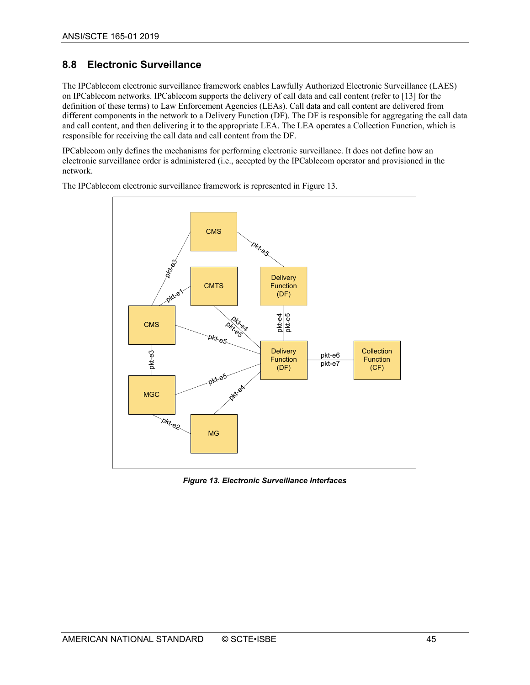## <span id="page-44-0"></span>**8.8 Electronic Surveillance**

The IPCablecom electronic surveillance framework enables Lawfully Authorized Electronic Surveillance (LAES) on IPCablecom networks. IPCablecom supports the delivery of call data and call content (refer to [\[13\]](#page-8-24) for the definition of these terms) to Law Enforcement Agencies (LEAs). Call data and call content are delivered from different components in the network to a Delivery Function (DF). The DF is responsible for aggregating the call data and call content, and then delivering it to the appropriate LEA. The LEA operates a Collection Function, which is responsible for receiving the call data and call content from the DF.

IPCablecom only defines the mechanisms for performing electronic surveillance. It does not define how an electronic surveillance order is administered (i.e., accepted by the IPCablecom operator and provisioned in the network.



The IPCablecom electronic surveillance framework is represented in [Figure 13.](#page-44-1)

<span id="page-44-1"></span>*Figure 13. Electronic Surveillance Interfaces*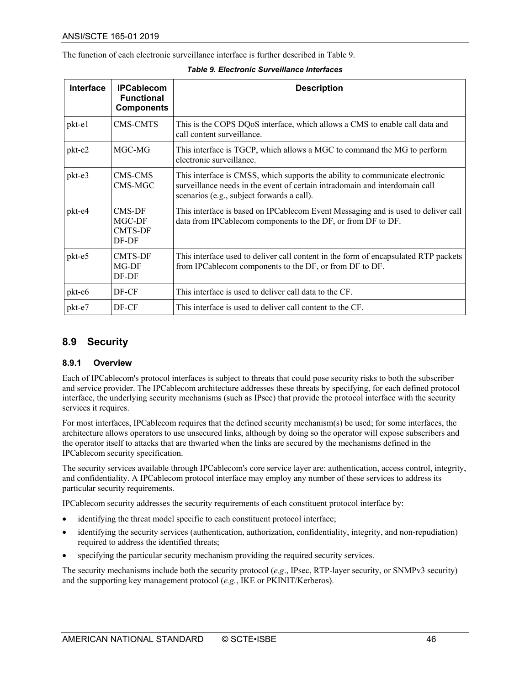The function of each electronic surveillance interface is further described i[n Table 9.](#page-45-2)

<span id="page-45-2"></span>

| Interface | <b>IPCablecom</b><br><b>Functional</b><br><b>Components</b> | <b>Description</b>                                                                                                                                                                                        |
|-----------|-------------------------------------------------------------|-----------------------------------------------------------------------------------------------------------------------------------------------------------------------------------------------------------|
| $pkt-e1$  | CMS-CMTS                                                    | This is the COPS DQoS interface, which allows a CMS to enable call data and<br>call content surveillance.                                                                                                 |
| pkt-e2    | MGC-MG                                                      | This interface is TGCP, which allows a MGC to command the MG to perform<br>electronic surveillance.                                                                                                       |
| pkt-e3    | CMS-CMS<br>CMS-MGC                                          | This interface is CMSS, which supports the ability to communicate electronic<br>surveillance needs in the event of certain intradomain and interdomain call<br>scenarios (e.g., subject forwards a call). |
| pkt-e4    | CMS-DF<br>MGC-DF<br><b>CMTS-DF</b><br>DF-DF                 | This interface is based on IPCablecom Event Messaging and is used to deliver call<br>data from IPCablecom components to the DF, or from DF to DF.                                                         |
| pkt-e5    | <b>CMTS-DF</b><br>MG-DF<br>DF-DF                            | This interface used to deliver call content in the form of encapsulated RTP packets<br>from IPCablecom components to the DF, or from DF to DF.                                                            |
| pkt-e6    | DF-CF                                                       | This interface is used to deliver call data to the CF.                                                                                                                                                    |
| pkt-e7    | DF-CF                                                       | This interface is used to deliver call content to the CF.                                                                                                                                                 |

#### *Table 9. Electronic Surveillance Interfaces*

#### <span id="page-45-0"></span>**8.9 Security**

#### <span id="page-45-1"></span>**8.9.1 Overview**

Each of IPCablecom's protocol interfaces is subject to threats that could pose security risks to both the subscriber and service provider. The IPCablecom architecture addresses these threats by specifying, for each defined protocol interface, the underlying security mechanisms (such as IPsec) that provide the protocol interface with the security services it requires.

For most interfaces, IPCablecom requires that the defined security mechanism(s) be used; for some interfaces, the architecture allows operators to use unsecured links, although by doing so the operator will expose subscribers and the operator itself to attacks that are thwarted when the links are secured by the mechanisms defined in the IPCablecom security specification.

The security services available through IPCablecom's core service layer are: authentication, access control, integrity, and confidentiality. A IPCablecom protocol interface may employ any number of these services to address its particular security requirements.

IPCablecom security addresses the security requirements of each constituent protocol interface by:

- identifying the threat model specific to each constituent protocol interface;
- identifying the security services (authentication, authorization, confidentiality, integrity, and non-repudiation) required to address the identified threats;
- specifying the particular security mechanism providing the required security services.

The security mechanisms include both the security protocol (*e.g*., IPsec, RTP-layer security, or SNMPv3 security) and the supporting key management protocol (*e.g.*, IKE or PKINIT/Kerberos).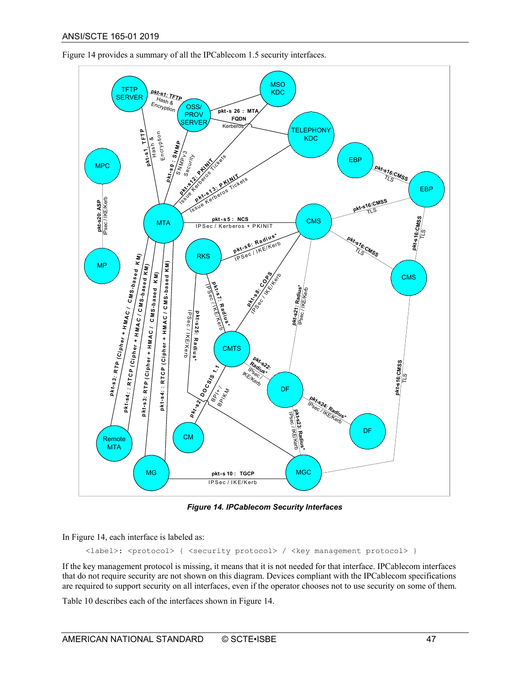

[Figure 14](#page-46-0) provides a summary of all the IPCablecom 1.5 security interfaces.

*Figure 14. IPCablecom Security Interfaces*

<span id="page-46-0"></span>In [Figure 14,](#page-46-0) each interface is labeled as:

<label>: <protocol> { <security protocol> / <key management protocol> }

If the key management protocol is missing, it means that it is not needed for that interface. IPCablecom interfaces that do not require security are not shown on this diagram. Devices compliant with the IPCablecom specifications are required to support security on all interfaces, even if the operator chooses not to use security on some of them.

[Table 10](#page-47-0) describes each of the interfaces shown in [Figure 14.](#page-46-0)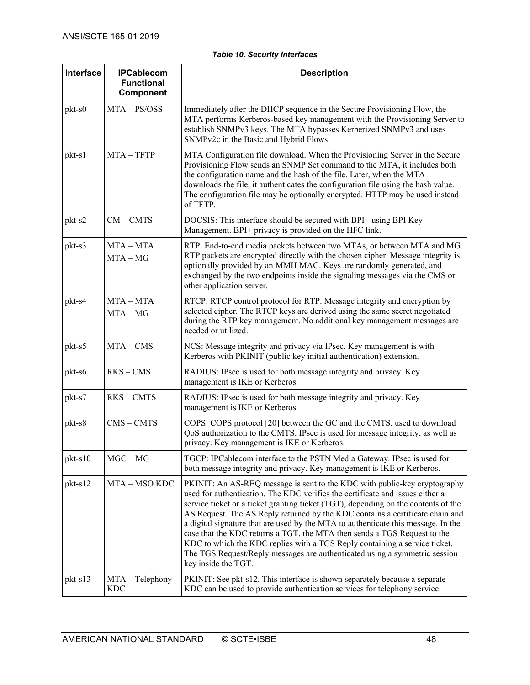#### *Table 10. Security Interfaces*

<span id="page-47-0"></span>

| Interface | <b>IPCablecom</b><br><b>Functional</b><br>Component | <b>Description</b>                                                                                                                                                                                                                                                                                                                                                                                                                                                                                                                                                                                                                                                                    |
|-----------|-----------------------------------------------------|---------------------------------------------------------------------------------------------------------------------------------------------------------------------------------------------------------------------------------------------------------------------------------------------------------------------------------------------------------------------------------------------------------------------------------------------------------------------------------------------------------------------------------------------------------------------------------------------------------------------------------------------------------------------------------------|
| pkt-s0    | $MTA - PS/OSS$                                      | Immediately after the DHCP sequence in the Secure Provisioning Flow, the<br>MTA performs Kerberos-based key management with the Provisioning Server to<br>establish SNMPv3 keys. The MTA bypasses Kerberized SNMPv3 and uses<br>SNMPv2c in the Basic and Hybrid Flows.                                                                                                                                                                                                                                                                                                                                                                                                                |
| pkt-s1    | $MTA - TFTP$                                        | MTA Configuration file download. When the Provisioning Server in the Secure<br>Provisioning Flow sends an SNMP Set command to the MTA, it includes both<br>the configuration name and the hash of the file. Later, when the MTA<br>downloads the file, it authenticates the configuration file using the hash value.<br>The configuration file may be optionally encrypted. HTTP may be used instead<br>of TFTP.                                                                                                                                                                                                                                                                      |
| pkt-s2    | $CM - CMTS$                                         | DOCSIS: This interface should be secured with BPI+ using BPI Key<br>Management. BPI+ privacy is provided on the HFC link.                                                                                                                                                                                                                                                                                                                                                                                                                                                                                                                                                             |
| pkt-s3    | $MTA - MTA$<br>$MTA - MG$                           | RTP: End-to-end media packets between two MTAs, or between MTA and MG.<br>RTP packets are encrypted directly with the chosen cipher. Message integrity is<br>optionally provided by an MMH MAC. Keys are randomly generated, and<br>exchanged by the two endpoints inside the signaling messages via the CMS or<br>other application server.                                                                                                                                                                                                                                                                                                                                          |
| pkt-s4    | $MTA - MTA$<br>$MTA - MG$                           | RTCP: RTCP control protocol for RTP. Message integrity and encryption by<br>selected cipher. The RTCP keys are derived using the same secret negotiated<br>during the RTP key management. No additional key management messages are<br>needed or utilized.                                                                                                                                                                                                                                                                                                                                                                                                                            |
| pkt-s5    | $MTA - CMS$                                         | NCS: Message integrity and privacy via IPsec. Key management is with<br>Kerberos with PKINIT (public key initial authentication) extension.                                                                                                                                                                                                                                                                                                                                                                                                                                                                                                                                           |
| pkt-s6    | $RKS - CMS$                                         | RADIUS: IPsec is used for both message integrity and privacy. Key<br>management is IKE or Kerberos.                                                                                                                                                                                                                                                                                                                                                                                                                                                                                                                                                                                   |
| pkt-s7    | $RKS - CMTS$                                        | RADIUS: IPsec is used for both message integrity and privacy. Key<br>management is IKE or Kerberos.                                                                                                                                                                                                                                                                                                                                                                                                                                                                                                                                                                                   |
| pkt-s8    | $CMS - CMTS$                                        | COPS: COPS protocol [20] between the GC and the CMTS, used to download<br>QoS authorization to the CMTS. IPsec is used for message integrity, as well as<br>privacy. Key management is IKE or Kerberos.                                                                                                                                                                                                                                                                                                                                                                                                                                                                               |
| pkt-s10   | $MGC - MG$                                          | TGCP: IPCablecom interface to the PSTN Media Gateway. IPsec is used for<br>both message integrity and privacy. Key management is IKE or Kerberos.                                                                                                                                                                                                                                                                                                                                                                                                                                                                                                                                     |
| pkt-s12   | MTA – MSO KDC                                       | PKINIT: An AS-REQ message is sent to the KDC with public-key cryptography<br>used for authentication. The KDC verifies the certificate and issues either a<br>service ticket or a ticket granting ticket (TGT), depending on the contents of the<br>AS Request. The AS Reply returned by the KDC contains a certificate chain and<br>a digital signature that are used by the MTA to authenticate this message. In the<br>case that the KDC returns a TGT, the MTA then sends a TGS Request to the<br>KDC to which the KDC replies with a TGS Reply containing a service ticket.<br>The TGS Request/Reply messages are authenticated using a symmetric session<br>key inside the TGT. |
| pkt-s13   | $MTA - Telephone$<br><b>KDC</b>                     | PKINIT: See pkt-s12. This interface is shown separately because a separate<br>KDC can be used to provide authentication services for telephony service.                                                                                                                                                                                                                                                                                                                                                                                                                                                                                                                               |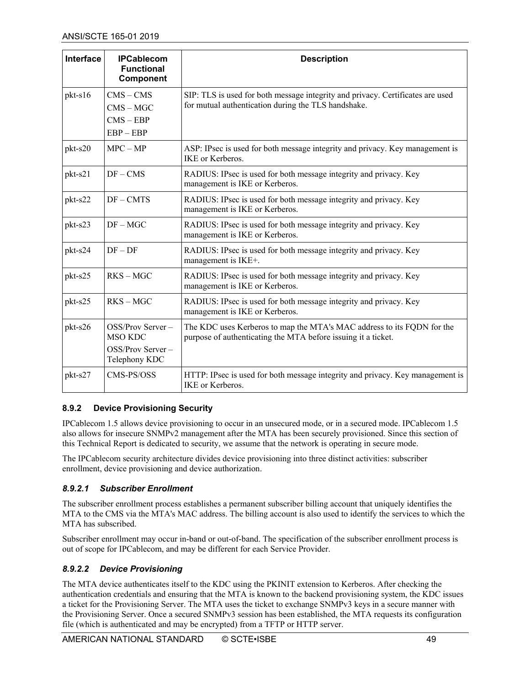| <b>Interface</b> | <b>IPCablecom</b><br><b>Functional</b><br>Component                     | <b>Description</b>                                                                                                                      |
|------------------|-------------------------------------------------------------------------|-----------------------------------------------------------------------------------------------------------------------------------------|
| $pkt-s16$        | $CMS - CMS$                                                             | SIP: TLS is used for both message integrity and privacy. Certificates are used<br>for mutual authentication during the TLS handshake.   |
|                  | $CMS - MGC$                                                             |                                                                                                                                         |
|                  | $CMS - EBP$                                                             |                                                                                                                                         |
|                  | $EBP - EBP$                                                             |                                                                                                                                         |
| pkt-s20          | $MPC-MP$                                                                | ASP: IPsec is used for both message integrity and privacy. Key management is<br>IKE or Kerberos.                                        |
| pkt-s21          | $DF - CMS$                                                              | RADIUS: IPsec is used for both message integrity and privacy. Key<br>management is IKE or Kerberos.                                     |
| pkt-s22          | $DF - CMTS$                                                             | RADIUS: IPsec is used for both message integrity and privacy. Key<br>management is IKE or Kerberos.                                     |
| pkt-s23          | $DF - MGC$                                                              | RADIUS: IPsec is used for both message integrity and privacy. Key<br>management is IKE or Kerberos.                                     |
| pkt-s24          | $DF - DF$                                                               | RADIUS: IPsec is used for both message integrity and privacy. Key<br>management is IKE+.                                                |
| pkt-s25          | $RKS - MGC$                                                             | RADIUS: IPsec is used for both message integrity and privacy. Key<br>management is IKE or Kerberos.                                     |
| pkt-s25          | $RKS - MGC$                                                             | RADIUS: IPsec is used for both message integrity and privacy. Key<br>management is IKE or Kerberos.                                     |
| pkt-s26          | OSS/Prov Server-<br><b>MSO KDC</b><br>OSS/Prov Server-<br>Telephony KDC | The KDC uses Kerberos to map the MTA's MAC address to its FQDN for the<br>purpose of authenticating the MTA before issuing it a ticket. |
| pkt-s27          | CMS-PS/OSS                                                              | HTTP: IPsec is used for both message integrity and privacy. Key management is<br>IKE or Kerberos.                                       |

#### <span id="page-48-0"></span>**8.9.2 Device Provisioning Security**

IPCablecom 1.5 allows device provisioning to occur in an unsecured mode, or in a secured mode. IPCablecom 1.5 also allows for insecure SNMPv2 management after the MTA has been securely provisioned. Since this section of this Technical Report is dedicated to security, we assume that the network is operating in secure mode.

The IPCablecom security architecture divides device provisioning into three distinct activities: subscriber enrollment, device provisioning and device authorization.

#### *8.9.2.1 Subscriber Enrollment*

The subscriber enrollment process establishes a permanent subscriber billing account that uniquely identifies the MTA to the CMS via the MTA's MAC address. The billing account is also used to identify the services to which the MTA has subscribed.

Subscriber enrollment may occur in-band or out-of-band. The specification of the subscriber enrollment process is out of scope for IPCablecom, and may be different for each Service Provider.

#### *8.9.2.2 Device Provisioning*

The MTA device authenticates itself to the KDC using the PKINIT extension to Kerberos. After checking the authentication credentials and ensuring that the MTA is known to the backend provisioning system, the KDC issues a ticket for the Provisioning Server. The MTA uses the ticket to exchange SNMPv3 keys in a secure manner with the Provisioning Server. Once a secured SNMPv3 session has been established, the MTA requests its configuration file (which is authenticated and may be encrypted) from a TFTP or HTTP server.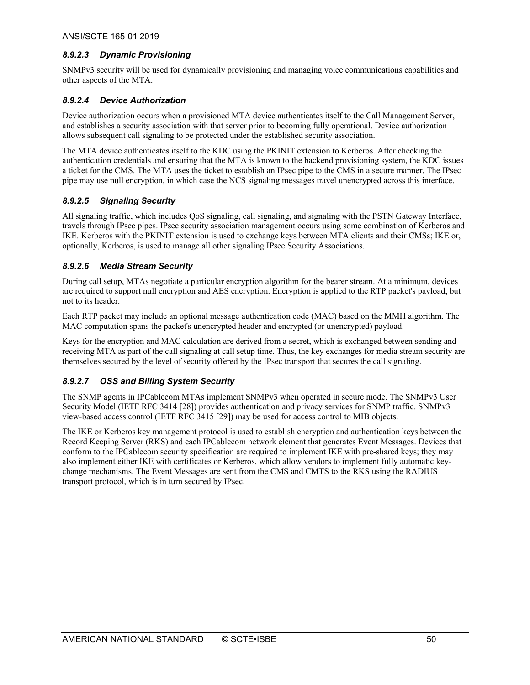#### *8.9.2.3 Dynamic Provisioning*

SNMPv3 security will be used for dynamically provisioning and managing voice communications capabilities and other aspects of the MTA.

#### *8.9.2.4 Device Authorization*

Device authorization occurs when a provisioned MTA device authenticates itself to the Call Management Server, and establishes a security association with that server prior to becoming fully operational. Device authorization allows subsequent call signaling to be protected under the established security association.

The MTA device authenticates itself to the KDC using the PKINIT extension to Kerberos. After checking the authentication credentials and ensuring that the MTA is known to the backend provisioning system, the KDC issues a ticket for the CMS. The MTA uses the ticket to establish an IPsec pipe to the CMS in a secure manner. The IPsec pipe may use null encryption, in which case the NCS signaling messages travel unencrypted across this interface.

#### *8.9.2.5 Signaling Security*

All signaling traffic, which includes QoS signaling, call signaling, and signaling with the PSTN Gateway Interface, travels through IPsec pipes. IPsec security association management occurs using some combination of Kerberos and IKE. Kerberos with the PKINIT extension is used to exchange keys between MTA clients and their CMSs; IKE or, optionally, Kerberos, is used to manage all other signaling IPsec Security Associations.

#### *8.9.2.6 Media Stream Security*

During call setup, MTAs negotiate a particular encryption algorithm for the bearer stream. At a minimum, devices are required to support null encryption and AES encryption. Encryption is applied to the RTP packet's payload, but not to its header.

Each RTP packet may include an optional message authentication code (MAC) based on the MMH algorithm. The MAC computation spans the packet's unencrypted header and encrypted (or unencrypted) payload.

Keys for the encryption and MAC calculation are derived from a secret, which is exchanged between sending and receiving MTA as part of the call signaling at call setup time. Thus, the key exchanges for media stream security are themselves secured by the level of security offered by the IPsec transport that secures the call signaling.

#### *8.9.2.7 OSS and Billing System Security*

The SNMP agents in IPCablecom MTAs implement SNMPv3 when operated in secure mode. The SNMPv3 User Security Model (IETF RFC 3414 [\[28\]\)](#page-8-26) provides authentication and privacy services for SNMP traffic. SNMPv3 view-based access control (IETF RFC 341[5 \[29\]\)](#page-8-27) may be used for access control to MIB objects.

The IKE or Kerberos key management protocol is used to establish encryption and authentication keys between the Record Keeping Server (RKS) and each IPCablecom network element that generates Event Messages. Devices that conform to the IPCablecom security specification are required to implement IKE with pre-shared keys; they may also implement either IKE with certificates or Kerberos, which allow vendors to implement fully automatic keychange mechanisms. The Event Messages are sent from the CMS and CMTS to the RKS using the RADIUS transport protocol, which is in turn secured by IPsec.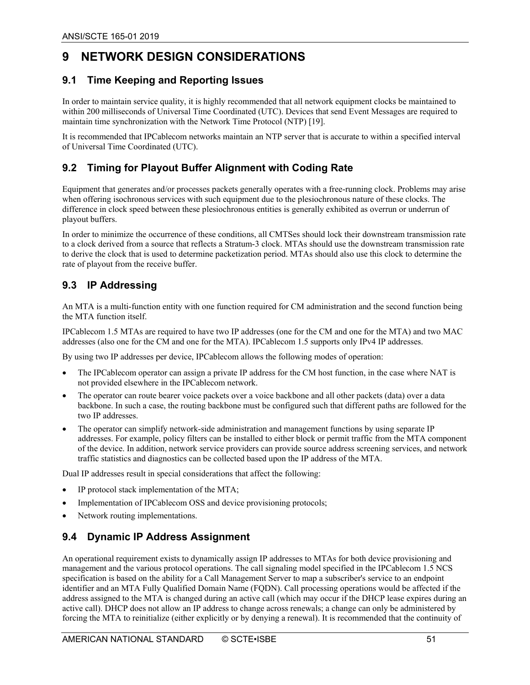## <span id="page-50-0"></span>**9 NETWORK DESIGN CONSIDERATIONS**

#### <span id="page-50-1"></span>**9.1 Time Keeping and Reporting Issues**

In order to maintain service quality, it is highly recommended that all network equipment clocks be maintained to within 200 milliseconds of Universal Time Coordinated (UTC). Devices that send Event Messages are required to maintain time synchronization with the Network Time Protocol (NTP[\) \[19\].](#page-8-28)

It is recommended that IPCablecom networks maintain an NTP server that is accurate to within a specified interval of Universal Time Coordinated (UTC).

#### <span id="page-50-2"></span>**9.2 Timing for Playout Buffer Alignment with Coding Rate**

Equipment that generates and/or processes packets generally operates with a free-running clock. Problems may arise when offering isochronous services with such equipment due to the plesiochronous nature of these clocks. The difference in clock speed between these plesiochronous entities is generally exhibited as overrun or underrun of playout buffers.

In order to minimize the occurrence of these conditions, all CMTSes should lock their downstream transmission rate to a clock derived from a source that reflects a Stratum-3 clock. MTAs should use the downstream transmission rate to derive the clock that is used to determine packetization period. MTAs should also use this clock to determine the rate of playout from the receive buffer.

#### <span id="page-50-3"></span>**9.3 IP Addressing**

An MTA is a multi-function entity with one function required for CM administration and the second function being the MTA function itself.

IPCablecom 1.5 MTAs are required to have two IP addresses (one for the CM and one for the MTA) and two MAC addresses (also one for the CM and one for the MTA). IPCablecom 1.5 supports only IPv4 IP addresses.

By using two IP addresses per device, IPCablecom allows the following modes of operation:

- The IPCablecom operator can assign a private IP address for the CM host function, in the case where NAT is not provided elsewhere in the IPCablecom network.
- The operator can route bearer voice packets over a voice backbone and all other packets (data) over a data backbone. In such a case, the routing backbone must be configured such that different paths are followed for the two IP addresses.
- The operator can simplify network-side administration and management functions by using separate IP addresses. For example, policy filters can be installed to either block or permit traffic from the MTA component of the device. In addition, network service providers can provide source address screening services, and network traffic statistics and diagnostics can be collected based upon the IP address of the MTA.

Dual IP addresses result in special considerations that affect the following:

- IP protocol stack implementation of the MTA;
- Implementation of IPCablecom OSS and device provisioning protocols;
- Network routing implementations.

#### <span id="page-50-4"></span>**9.4 Dynamic IP Address Assignment**

An operational requirement exists to dynamically assign IP addresses to MTAs for both device provisioning and management and the various protocol operations. The call signaling model specified in the IPCablecom 1.5 NCS specification is based on the ability for a Call Management Server to map a subscriber's service to an endpoint identifier and an MTA Fully Qualified Domain Name (FQDN). Call processing operations would be affected if the address assigned to the MTA is changed during an active call (which may occur if the DHCP lease expires during an active call). DHCP does not allow an IP address to change across renewals; a change can only be administered by forcing the MTA to reinitialize (either explicitly or by denying a renewal). It is recommended that the continuity of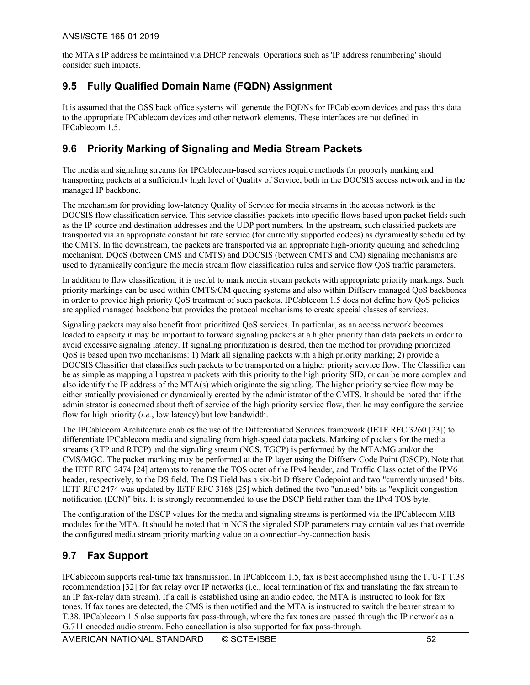the MTA's IP address be maintained via DHCP renewals. Operations such as 'IP address renumbering' should consider such impacts.

#### <span id="page-51-0"></span>**9.5 Fully Qualified Domain Name (FQDN) Assignment**

It is assumed that the OSS back office systems will generate the FQDNs for IPCablecom devices and pass this data to the appropriate IPCablecom devices and other network elements. These interfaces are not defined in IPCablecom 1.5.

#### <span id="page-51-1"></span>**9.6 Priority Marking of Signaling and Media Stream Packets**

The media and signaling streams for IPCablecom-based services require methods for properly marking and transporting packets at a sufficiently high level of Quality of Service, both in the DOCSIS access network and in the managed IP backbone.

The mechanism for providing low-latency Quality of Service for media streams in the access network is the DOCSIS flow classification service. This service classifies packets into specific flows based upon packet fields such as the IP source and destination addresses and the UDP port numbers. In the upstream, such classified packets are transported via an appropriate constant bit rate service (for currently supported codecs) as dynamically scheduled by the CMTS. In the downstream, the packets are transported via an appropriate high-priority queuing and scheduling mechanism. DQoS (between CMS and CMTS) and DOCSIS (between CMTS and CM) signaling mechanisms are used to dynamically configure the media stream flow classification rules and service flow QoS traffic parameters.

In addition to flow classification, it is useful to mark media stream packets with appropriate priority markings. Such priority markings can be used within CMTS/CM queuing systems and also within Diffserv managed QoS backbones in order to provide high priority QoS treatment of such packets. IPCablecom 1.5 does not define how QoS policies are applied managed backbone but provides the protocol mechanisms to create special classes of services.

Signaling packets may also benefit from prioritized QoS services. In particular, as an access network becomes loaded to capacity it may be important to forward signaling packets at a higher priority than data packets in order to avoid excessive signaling latency. If signaling prioritization is desired, then the method for providing prioritized QoS is based upon two mechanisms: 1) Mark all signaling packets with a high priority marking; 2) provide a DOCSIS Classifier that classifies such packets to be transported on a higher priority service flow. The Classifier can be as simple as mapping all upstream packets with this priority to the high priority SID, or can be more complex and also identify the IP address of the MTA(s) which originate the signaling. The higher priority service flow may be either statically provisioned or dynamically created by the administrator of the CMTS. It should be noted that if the administrator is concerned about theft of service of the high priority service flow, then he may configure the service flow for high priority (*i.e.*, low latency) but low bandwidth.

The IPCablecom Architecture enables the use of the Differentiated Services framework (IETF RFC 3260 [\[23\]\)](#page-8-29) to differentiate IPCablecom media and signaling from high-speed data packets. Marking of packets for the media streams (RTP and RTCP) and the signaling stream (NCS, TGCP) is performed by the MTA/MG and/or the CMS/MGC. The packet marking may be performed at the IP layer using the Diffserv Code Point (DSCP). Note that the IETF RFC 2474 [\[24\]](#page-8-30) attempts to rename the TOS octet of the IPv4 header, and Traffic Class octet of the IPV6 header, respectively, to the DS field. The DS Field has a six-bit Diffserv Codepoint and two "currently unused" bits. IETF RFC 2474 was updated by IETF RFC 316[8 \[25\]](#page-8-31) which defined the two "unused" bits as "explicit congestion notification (ECN)" bits. It is strongly recommended to use the DSCP field rather than the IPv4 TOS byte.

The configuration of the DSCP values for the media and signaling streams is performed via the IPCablecom MIB modules for the MTA. It should be noted that in NCS the signaled SDP parameters may contain values that override the configured media stream priority marking value on a connection-by-connection basis.

#### <span id="page-51-2"></span>**9.7 Fax Support**

IPCablecom supports real-time fax transmission. In IPCablecom 1.5, fax is best accomplished using the ITU-T T.38 recommendatio[n \[32\]](#page-9-3) for fax relay over IP networks (i.e., local termination of fax and translating the fax stream to an IP fax-relay data stream). If a call is established using an audio codec, the MTA is instructed to look for fax tones. If fax tones are detected, the CMS is then notified and the MTA is instructed to switch the bearer stream to T.38. IPCablecom 1.5 also supports fax pass-through, where the fax tones are passed through the IP network as a G.711 encoded audio stream. Echo cancellation is also supported for fax pass-through.